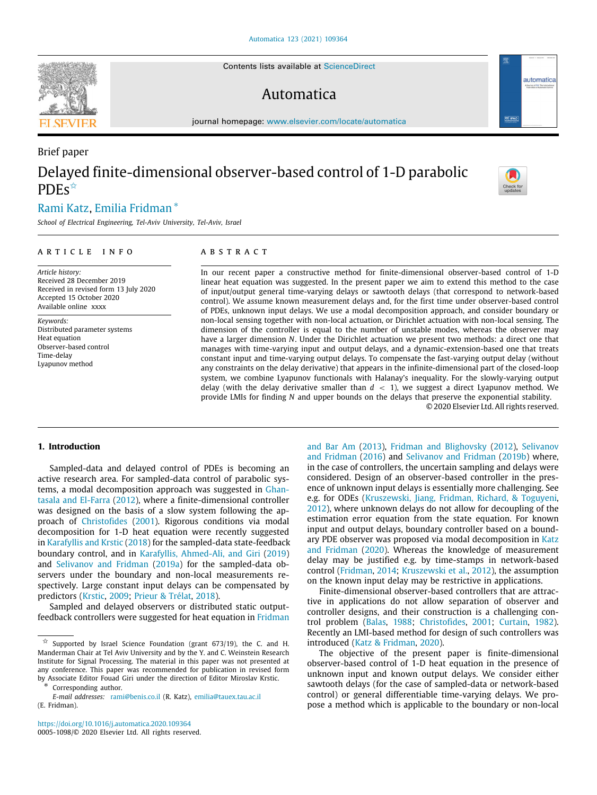Contents lists available at [ScienceDirect](http://www.elsevier.com/locate/automatica)

# Automatica

journal homepage: [www.elsevier.com/locate/automatica](http://www.elsevier.com/locate/automatica)

# Brief paper Delayed finite-dimensional observer-based control of 1-D parabolic **PDFs**

# [Rami](#page-8-0) [Katz](#page-8-0), [Emilia](#page-8-1) [Fridman](#page-8-1) [∗](#page-0-1)

*School of Electrical Engineering, Tel-Aviv University, Tel-Aviv, Israel*

#### a r t i c l e i n f o

*Article history:* Received 28 December 2019 Received in revised form 13 July 2020 Accepted 15 October 2020 Available online xxxx

*Keywords:* Distributed parameter systems Heat equation Observer-based control Time-delay Lyapunov method

# A B S T R A C T

In our recent paper a constructive method for finite-dimensional observer-based control of 1-D linear heat equation was suggested. In the present paper we aim to extend this method to the case of input/output general time-varying delays or sawtooth delays (that correspond to network-based control). We assume known measurement delays and, for the first time under observer-based control of PDEs, unknown input delays. We use a modal decomposition approach, and consider boundary or non-local sensing together with non-local actuation, or Dirichlet actuation with non-local sensing. The dimension of the controller is equal to the number of unstable modes, whereas the observer may have a larger dimension *N*. Under the Dirichlet actuation we present two methods: a direct one that manages with time-varying input and output delays, and a dynamic-extension-based one that treats constant input and time-varying output delays. To compensate the fast-varying output delay (without any constraints on the delay derivative) that appears in the infinite-dimensional part of the closed-loop system, we combine Lyapunov functionals with Halanay's inequality. For the slowly-varying output delay (with the delay derivative smaller than  $d < 1$ ), we suggest a direct Lyapunov method. We provide LMIs for finding *N* and upper bounds on the delays that preserve the exponential stability. © 2020 Elsevier Ltd. All rights reserved.

# **1. Introduction**

Sampled-data and delayed control of PDEs is becoming an active research area. For sampled-data control of parabolic systems, a modal decomposition approach was suggested in [Ghan](#page-8-2)[tasala and El-Farra](#page-8-2) ([2012](#page-8-2)), where a finite-dimensional controller was designed on the basis of a slow system following the approach of [Christofides](#page-8-3) [\(2001](#page-8-3)). Rigorous conditions via modal decomposition for 1-D heat equation were recently suggested in [Karafyllis and Krstic](#page-8-4) ([2018](#page-8-4)) for the sampled-data state-feedback boundary control, and in [Karafyllis, Ahmed-Ali, and Giri](#page-8-5) [\(2019\)](#page-8-5) and [Selivanov and Fridman](#page-8-6) ([2019a](#page-8-6)) for the sampled-data observers under the boundary and non-local measurements respectively. Large constant input delays can be compensated by predictors [\(Krstic](#page-8-7), [2009](#page-8-7); [Prieur & Trélat,](#page-8-8) [2018\)](#page-8-8).

Sampled and delayed observers or distributed static outputfeedback controllers were suggested for heat equation in [Fridman](#page-8-9)

<span id="page-0-1"></span>∗ [Corresponding author.](#page-8-9)

*E-mail addresses:* [rami@benis.co.il](mailto:rami@benis.co.il) (R. Katz), [emilia@tauex.tau.ac.il](#page-8-9) [\(E. Fridman\).](#page-8-9)

<https://doi.org/10.1016/j.automatica.2020.109364> 0005-1098/© 2020 Elsevier Ltd. All rights reserved. [and Bar Am](#page-8-9) ([2013\)](#page-8-9), [Fridman and Blighovsky](#page-8-10) ([2012\)](#page-8-10), [Selivanov](#page-8-11) [and Fridman](#page-8-11) [\(2016\)](#page-8-11) and [Selivanov and Fridman](#page-8-12) [\(2019b](#page-8-12)) where, in the case of controllers, the uncertain sampling and delays were considered. Design of an observer-based controller in the presence of unknown input delays is essentially more challenging. See e.g. for ODEs ([Kruszewski, Jiang, Fridman, Richard, & Toguyeni,](#page-8-13) [2012\)](#page-8-13), where unknown delays do not allow for decoupling of the estimation error equation from the state equation. For known input and output delays, boundary controller based on a bound-ary PDE observer was proposed via modal decomposition in [Katz](#page-8-14) [and Fridman](#page-8-14) [\(2020](#page-8-14)). Whereas the knowledge of measurement delay may be justified e.g. by time-stamps in network-based control ([Fridman,](#page-8-15) [2014;](#page-8-15) [Kruszewski et al.](#page-8-13), [2012](#page-8-13)), the assumption on the known input delay may be restrictive in applications.

Finite-dimensional observer-based controllers that are attractive in applications do not allow separation of observer and controller designs, and their construction is a challenging control problem [\(Balas](#page-8-16), [1988](#page-8-16); [Christofides,](#page-8-3) [2001;](#page-8-3) [Curtain,](#page-8-17) [1982\)](#page-8-17). Recently an LMI-based method for design of such controllers was introduced [\(Katz & Fridman,](#page-8-14) [2020](#page-8-14)).

The objective of the present paper is finite-dimensional observer-based control of 1-D heat equation in the presence of unknown input and known output delays. We consider either sawtooth delays (for the case of sampled-data or network-based control) or general differentiable time-varying delays. We propose a method which is applicable to the boundary or non-local





automatica

<span id="page-0-0"></span> $\overleftrightarrow{x}$  [Supported by Israel Science Foundation \(grant 673/19\), the C. and H.](#page-8-9) [Manderman Chair at Tel Aviv University and by the Y. and C. Weinstein Research](#page-8-9) [Institute for Signal Processing. The material in this paper was not presented at](#page-8-9) [any conference. This paper was recommended for publication in revised form](#page-8-9) [by Associate Editor Fouad Giri under the direction of Editor Miroslav Krstic.](#page-8-9)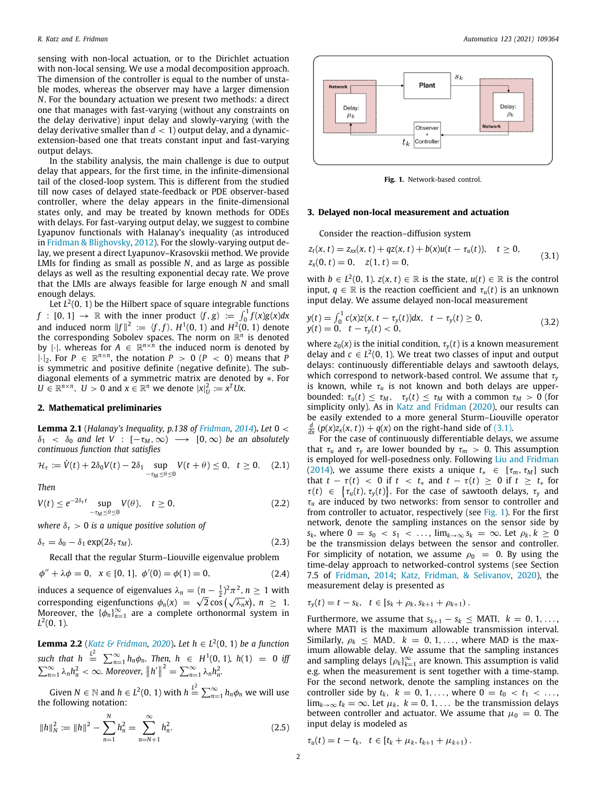sensing with non-local actuation, or to the Dirichlet actuation with non-local sensing. We use a modal decomposition approach. The dimension of the controller is equal to the number of unstable modes, whereas the observer may have a larger dimension *N*. For the boundary actuation we present two methods: a direct one that manages with fast-varying (without any constraints on the delay derivative) input delay and slowly-varying (with the delay derivative smaller than  $d < 1$ ) output delay, and a dynamicextension-based one that treats constant input and fast-varying output delays.

In the stability analysis, the main challenge is due to output delay that appears, for the first time, in the infinite-dimensional tail of the closed-loop system. This is different from the studied till now cases of delayed state-feedback or PDE observer-based controller, where the delay appears in the finite-dimensional states only, and may be treated by known methods for ODEs with delays. For fast-varying output delay, we suggest to combine Lyapunov functionals with Halanay's inequality (as introduced in [Fridman & Blighovsky](#page-8-10), [2012](#page-8-10)). For the slowly-varying output delay, we present a direct Lyapunov–Krasovskii method. We provide LMIs for finding as small as possible *N*, and as large as possible delays as well as the resulting exponential decay rate. We prove that the LMIs are always feasible for large enough *N* and small enough delays.

Let *L* 2 (0, 1) be the Hilbert space of square integrable functions  $f : [0, 1] \rightarrow \mathbb{R}$  with the inner product  $\langle f, g \rangle := \int_0^1 f(x)g(x)dx$ and induced norm  $||f||^2 := \langle f, f \rangle$ .  $H^1(0, 1)$  and  $H^2(0, 1)$  denote the corresponding Sobolev spaces. The norm on  $\mathbb{R}^n$  is denoted by  $|\cdot|$ . whereas for  $A \in \mathbb{R}^{n \times n}$  the induced norm is denoted by  $|\cdot|_2$ . For  $P \in \mathbb{R}^{n \times n}$ , the notation  $P > 0$  ( $P < 0$ ) means that  $P$ is symmetric and positive definite (negative definite). The subdiagonal elements of a symmetric matrix are denoted by ∗. For  $U \in \mathbb{R}^{n \times n}$ ,  $U > 0$  and  $x \in \mathbb{R}^n$  we denote  $|x|_U^2 := x^T Ux$ .

# **2. Mathematical preliminaries**

**Lemma 2.1** (*Halanay's Inequality, p.138 of [Fridman](#page-8-15), [2014](#page-8-15)*)**.** *Let* 0 <  $\delta_1 < \delta_0$  and let V :  $[-\tau_M, \infty) \longrightarrow [0, \infty)$  be an absolutely *continuous function that satisfies*

$$
\mathcal{H}_{\tau} := \dot{V}(t) + 2\delta_0 V(t) - 2\delta_1 \sup_{-\tau_M \leq \theta \leq 0} V(t + \theta) \leq 0, \quad t \geq 0. \quad (2.1)
$$

*Then*

$$
V(t) \le e^{-2\delta_{\tau}t} \sup_{-\tau_M \le \theta \le 0} V(\theta), \quad t \ge 0,
$$
\n(2.2)

*where*  $\delta_{\tau} > 0$  *is a unique positive solution of* 

$$
\delta_{\tau} = \delta_0 - \delta_1 \exp(2\delta_{\tau} \tau_M). \tag{2.3}
$$

Recall that the regular Sturm–Liouville eigenvalue problem

$$
\phi'' + \lambda \phi = 0, \quad x \in [0, 1], \quad \phi'(0) = \phi(1) = 0,\tag{2.4}
$$

induces a sequence of eigenvalues  $\lambda_n = (n - \frac{1}{2})^2 \pi^2$ ,  $n \ge 1$  with corresponding eigenfunctions  $\phi_n(x) = \sqrt{2} \cos(\sqrt{\lambda_n} x)$ ,  $n \ge 1$ . Moreover, the  $\{\phi_n\}_{n=1}^{\infty}$  are a complete orthonormal system in  $L^2(0, 1)$ .

<span id="page-1-8"></span>**Lemma 2.2** (*[Katz & Fridman](#page-8-14), [2020](#page-8-14)*)**.** *Let h* ∈ *L* 2 (0, 1) *be a function*  $\int \int_0^L$   $\int \int_0^L$   $\int \int_{n=1}^{\infty} h_n \phi_n$ . Then,  $h \in H^1(0, 1)$ ,  $h(1) = 0$  *iff*  $\sum_{n=1}^{\infty} \lambda_n h_n^2 < \infty$ . Moreover,  $||h'||^2 = \sum_{n=1}^{\infty} \lambda_n h_n^2$ .

Given  $N \in \mathbb{N}$  and  $h \in L^2(0, 1)$  with  $h \stackrel{L^2}{=} \sum_{n=1}^{\infty} h_n \phi_n$  we will use the following notation:

$$
||h||_N^2 := ||h||^2 - \sum_{n=1}^N h_n^2 = \sum_{n=N+1}^\infty h_n^2.
$$
 (2.5)



<span id="page-1-7"></span><span id="page-1-0"></span>**Fig. 1.** Network-based control.

# <span id="page-1-1"></span>**3. Delayed non-local measurement and actuation**

<span id="page-1-9"></span>Consider the reaction–diffusion system

$$
z_t(x, t) = z_{xx}(x, t) + qz(x, t) + b(x)u(t - \tau_u(t)), \quad t \ge 0,
$$
  
\n
$$
z_x(0, t) = 0, \quad z(1, t) = 0,
$$
\n(3.1)

with  $b \in L^2(0, 1)$ .  $z(x, t) \in \mathbb{R}$  is the state,  $u(t) \in \mathbb{R}$  is the control input,  $q \in \mathbb{R}$  is the reaction coefficient and  $\tau_u(t)$  is an unknown input delay. We assume delayed non-local measurement

$$
y(t) = \int_0^1 c(x)z(x, t - \tau_y(t))dx, \quad t - \tau_y(t) \ge 0,
$$
  
\n
$$
y(t) = 0, \quad t - \tau_y(t) < 0,
$$
\n(3.2)

where  $z_0(x)$  is the initial condition,  $\tau_v(t)$  is a known measurement delay and  $c \in L^2(0, 1)$ . We treat two classes of input and output delays: continuously differentiable delays and sawtooth delays, which correspond to network-based control. We assume that τ*<sup>y</sup>* is known, while  $\tau_u$  is not known and both delays are upperbounded:  $\tau_u(t) \leq \tau_M$ ,  $\tau_v(t) \leq \tau_M$  with a common  $\tau_M > 0$  (for simplicity only). As in [Katz and Fridman](#page-8-14) ([2020\)](#page-8-14), our results can be easily extended to a more general Sturm–Liouville operator *d*  $\frac{d}{dx}$  (*p*(*x*)*z*<sub>*x*</sub>(*x*, *t*)) + *q*(*x*) on the right-hand side of [\(3.1\)](#page-1-0).

<span id="page-1-6"></span><span id="page-1-5"></span>For the case of continuously differentiable delays, we assume that  $\tau_u$  and  $\tau_v$  are lower bounded by  $\tau_m > 0$ . This assumption is employed for well-posedness only. Following [Liu and Fridman](#page-8-18) ([2014\)](#page-8-18), we assume there exists a unique  $t_* \in [\tau_m, \tau_M]$  such that  $t - \tau(t)$  < 0 if  $t < t_*$  and  $t - \tau(t) \ge 0$  if  $t \ge t_*$  for  $\tau(t) \in {\tau_u(t), \tau_y(t)}$ . For the case of sawtooth delays,  $\tau_y$  and  $\tau_u$  are induced by two networks: from sensor to controller and from controller to actuator, respectively (see [Fig.](#page-1-1) [1\)](#page-1-1). For the first network, denote the sampling instances on the sensor side by *s*<sub>*k*</sub>, where  $0 = s_0 < s_1 < ...$ ,  $\lim_{k \to \infty} s_k = \infty$ . Let  $\rho_k, k \ge 0$ be the transmission delays between the sensor and controller. For simplicity of notation, we assume  $\rho_0 = 0$ . By using the time-delay approach to networked-control systems (see Section 7.5 of [Fridman,](#page-8-15) [2014;](#page-8-15) [Katz, Fridman, & Selivanov,](#page-8-19) [2020\)](#page-8-19), the measurement delay is presented as

<span id="page-1-3"></span><span id="page-1-2"></span>
$$
\tau_y(t) = t - s_k, \quad t \in [s_k + \rho_k, s_{k+1} + \rho_{k+1}).
$$

Furthermore, we assume that  $s_{k+1} - s_k \leq MATI$ ,  $k = 0, 1, \ldots$ , where MATI is the maximum allowable transmission interval. Similarly,  $\rho_k \leq MAD$ ,  $k = 0, 1, \ldots$ , where MAD is the maximum allowable delay. We assume that the sampling instances and sampling delays  $\{\rho_k\}_{k=1}^{\infty}$  are known. This assumption is valid e.g. when the measurement is sent together with a time-stamp. For the second network, denote the sampling instances on the controller side by  $t_k$ ,  $k = 0, 1, \ldots$ , where  $0 = t_0 < t_1 < \ldots$ , lim<sub>*k*→∞</sub>  $t_k$  = ∞. Let  $\mu_k$ ,  $k$  = 0, 1, ... be the transmission delays between controller and actuator. We assume that  $\mu_0 = 0$ . The input delay is modeled as

<span id="page-1-4"></span>
$$
\tau_u(t) = t - t_k, \quad t \in [t_k + \mu_k, t_{k+1} + \mu_{k+1}).
$$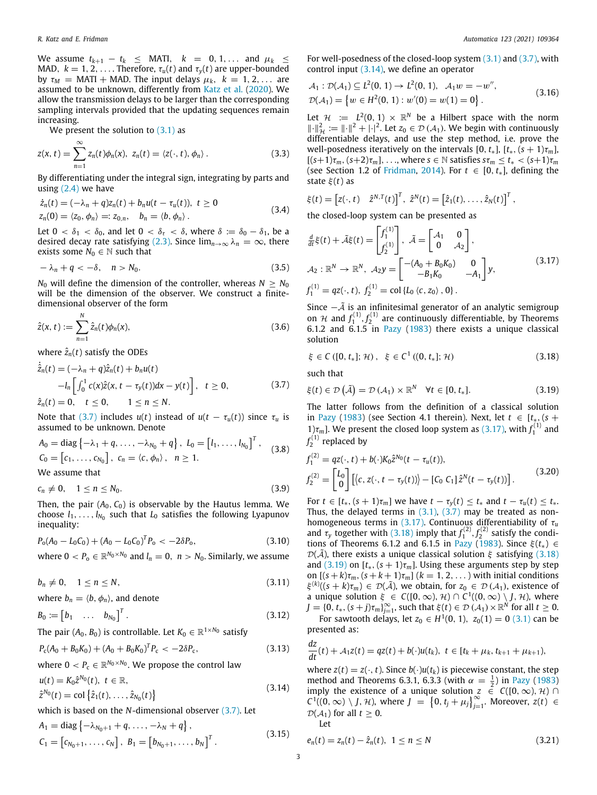We assume  $t_{k+1} - t_k$  ≤ MATI,  $k = 0, 1, ...$  and  $μ_k$  ≤ MAD,  $k = 1, 2, \ldots$ . Therefore,  $\tau_u(t)$  and  $\tau_v(t)$  are upper-bounded by  $\tau_M$  = MATI + MAD. The input delays  $\mu_k$ ,  $k = 1, 2, \ldots$  are assumed to be unknown, differently from [Katz et al.](#page-8-19) [\(2020\)](#page-8-19). We allow the transmission delays to be larger than the corresponding sampling intervals provided that the updating sequences remain increasing.

We present the solution to  $(3.1)$  $(3.1)$  $(3.1)$  as

$$
z(x, t) = \sum_{n=1}^{\infty} z_n(t) \phi_n(x), \ z_n(t) = \langle z(\cdot, t), \phi_n \rangle.
$$
 (3.3)

By differentiating under the integral sign, integrating by parts and using  $(2.4)$  we have

$$
\begin{aligned} \n\dot{z}_n(t) &= (-\lambda_n + q)z_n(t) + b_n u(t - \tau_u(t)), \ t \ge 0 \\ \nz_n(0) &= \langle z_0, \phi_n \rangle =: z_{0,n}, \quad b_n = \langle b, \phi_n \rangle \,. \n\end{aligned} \tag{3.4}
$$

Let  $0 < \delta_1 < \delta_0$ , and let  $0 < \delta_\tau < \delta$ , where  $\delta := \delta_0 - \delta_1$ , be a desired decay rate satisfying [\(2.3\)](#page-1-3). Since  $\lim_{n\to\infty} \lambda_n = \infty$ , there exists some  $N_0 \in \mathbb{N}$  such that

$$
-\lambda_n + q < -\delta, \quad n > N_0. \tag{3.5}
$$

*N*<sup>0</sup> will define the dimension of the controller, whereas  $N \geq N_0$ will be the dimension of the observer. We construct a finitedimensional observer of the form

$$
\hat{z}(x,t) := \sum_{n=1}^{N} \hat{z}_n(t)\phi_n(x),
$$
\n(3.6)

where  $\hat{z}_n(t)$  satisfy the ODEs

$$
\dot{\hat{z}}_n(t) = (-\lambda_n + q)\hat{z}_n(t) + b_n u(t) \n-l_n \left[ \int_0^1 c(x)\hat{z}(x, t - \tau_y(t))dx - y(t) \right], \quad t \ge 0, \n\hat{z}_n(t) = 0, \quad t \le 0, \quad 1 \le n \le N.
$$
\n(3.7)

Note that [\(3.7\)](#page-2-0) includes  $u(t)$  instead of  $u(t - \tau_u(t))$  since  $\tau_u$  is assumed to be unknown. Denote

$$
A_0 = \text{diag} \{-\lambda_1 + q, \ldots, -\lambda_{N_0} + q\}, \ L_0 = [l_1, \ldots, l_{N_0}]^T, \quad (3.8)
$$
  

$$
C_0 = [c_1, \ldots, c_{N_0}], \ c_n = \langle c, \phi_n \rangle, \ n \ge 1.
$$

We assume that

$$
c_n \neq 0, \quad 1 \leq n \leq N_0. \tag{3.9}
$$

Then, the pair  $(A_0, C_0)$  is observable by the Hautus lemma. We choose  $l_1, \ldots, l_{N_0}$  such that  $L_0$  satisfies the following Lyapunov inequality:

$$
P_o(A_0 - L_0 C_0) + (A_0 - L_0 C_0)^T P_o < -2\delta P_o,\tag{3.10}
$$

where  $0 < P_o \in \mathbb{R}^{N_0 \times N_0}$  and  $l_n = 0$ ,  $n > N_0$ . Similarly, we assume

 $b_n \neq 0, \quad 1 \leq n \leq N,$  (3.11)

where  $b_n = \langle b, \phi_n \rangle$ , and denote

$$
B_0 := \begin{bmatrix} b_1 & \dots & b_{N_0} \end{bmatrix}^T. \tag{3.12}
$$

The pair  $(A_0, B_0)$  is controllable. Let  $K_0 \in \mathbb{R}^{1 \times N_0}$  satisfy

$$
P_{\rm c}(A_0 + B_0 K_0) + (A_0 + B_0 K_0)^T P_{\rm c} < -2\delta P_{\rm c},\tag{3.13}
$$

where  $0 < P_{\text{c}} \in \mathbb{R}^{N_0 \times N_0}$ . We propose the control law

$$
u(t) = K_0 \hat{z}^{N_0}(t), \ t \in \mathbb{R},
$$
  
\n
$$
\hat{z}^{N_0}(t) = \text{col} \{\hat{z}_1(t), \dots, \hat{z}_{N_0}(t)\}
$$
\n(3.14)

$$
\hat{z}^{N_0}(t) = \text{col}\left\{\hat{z}_1(t),\ldots,\hat{z}_{N_0}(t)\right\}
$$

which is based on the *N*-dimensional observer [\(3.7\)](#page-2-0). Let

$$
A_1 = \text{diag}\left\{-\lambda_{N_0+1} + q, \dots, -\lambda_N + q\right\},
$$
  
\n
$$
C_1 = \left[c_{N_0+1}, \dots, c_N\right], \ B_1 = \left[b_{N_0+1}, \dots, b_N\right]^T.
$$
\n(3.15)

For well-posedness of the closed-loop system [\(3.1\)](#page-1-0) and [\(3.7\)](#page-2-0), with control input [\(3.14](#page-2-1)), we define an operator

<span id="page-2-15"></span>
$$
\mathcal{A}_1: \mathcal{D}(\mathcal{A}_1) \subseteq L^2(0, 1) \to L^2(0, 1), \quad \mathcal{A}_1 w = -w'',
$$
  
 
$$
\mathcal{D}(\mathcal{A}_1) = \{w \in H^2(0, 1) : w'(0) = w(1) = 0\}.
$$
 (3.16)

<span id="page-2-5"></span>Let  $\mathcal{H} := L^2(0, 1) \times \mathbb{R}^N$  be a Hilbert space with the norm  $\lVert \cdot \rVert^2$   $:=$   $\lVert \cdot \rVert^2$  +  $\lvert \cdot \rvert^2$ . Let  $z_0 \in \mathcal{D}(\mathcal{A}_1)$ . We begin with continuously differentiable delays, and use the step method, i.e. prove the well-posedness iteratively on the intervals  $[0, t_*]$ ,  $[t_*, (s + 1)\tau_m]$ ,  $[(s+1)\tau_m, (s+2)\tau_m], \ldots$ , where  $s \in \mathbb{N}$  satisfies  $s\tau_m \leq t_* < (s+1)\tau_m$ (see Section 1.2 of [Fridman](#page-8-15), [2014\)](#page-8-15). For  $t \in [0, t_*]$ , defining the state  $\xi(t)$  as

$$
\xi(t) = \begin{bmatrix} z(\cdot,t) & \hat{z}^{N,T}(t) \end{bmatrix}^T, \ \hat{z}^N(t) = \begin{bmatrix} \hat{z}_1(t), \ldots, \hat{z}_N(t) \end{bmatrix}^T,
$$

<span id="page-2-7"></span>the closed-loop system can be presented as

<span id="page-2-12"></span><span id="page-2-2"></span>
$$
\frac{d}{dt}\xi(t) + \tilde{\mathcal{A}}\xi(t) = \begin{bmatrix} f_1^{(1)} \\ f_2^{(1)} \end{bmatrix}, \quad \tilde{\mathcal{A}} = \begin{bmatrix} \mathcal{A}_1 & 0 \\ 0 & \mathcal{A}_2 \end{bmatrix},
$$
\n
$$
\mathcal{A}_2 : \mathbb{R}^N \to \mathbb{R}^N, \quad \mathcal{A}_2 y = \begin{bmatrix} -(\mathcal{A}_0 + \mathcal{B}_0 K_0) & 0 \\ -\mathcal{B}_1 K_0 & -\mathcal{A}_1 \end{bmatrix} y,
$$
\n
$$
f_1^{(1)} = qz(\cdot, t), \quad f_2^{(1)} = \text{col}\left\{L_0 \langle c, z_0 \rangle, 0\right\}.
$$
\n
$$
(3.17)
$$

<span id="page-2-6"></span>Since  $-\tilde{A}$  is an infinitesimal generator of an analytic semigroup on *H* and  $f_1^{(1)}$ ,  $f_2^{(1)}$  are continuously differentiable, by Theorems 6.1.2 and 6.1.5 in [Pazy](#page-8-20) [\(1983](#page-8-20)) there exists a unique classical solution

<span id="page-2-3"></span>
$$
\xi \in C([0, t_*]; \mathcal{H}), \quad \xi \in C^1((0, t_*]; \mathcal{H})
$$
\n(3.18)

such that

<span id="page-2-4"></span><span id="page-2-0"></span>
$$
\xi(t) \in \mathcal{D}\left(\tilde{\mathcal{A}}\right) = \mathcal{D}\left(\mathcal{A}_1\right) \times \mathbb{R}^N \quad \forall t \in [0, t_*]. \tag{3.19}
$$

The latter follows from the definition of a classical solution in [Pazy](#page-8-20) [\(1983](#page-8-20)) (see Section 4.1 therein). Next, let  $t \in [t_*, (s +$ 1) $\tau_m$ ]. We present the closed loop system as ([3.17](#page-2-2)), with  $f_1^{(1)}$  and  $f_2^{(1)}$  replaced by

<span id="page-2-16"></span><span id="page-2-8"></span>
$$
f_1^{(2)} = qz(\cdot, t) + b(\cdot)K_0\hat{z}^{N_0}(t - \tau_u(t)),
$$
  
\n
$$
f_2^{(2)} = \begin{bmatrix} L_0 \\ 0 \end{bmatrix} \left[ \langle c, z(\cdot, t - \tau_y(t)) \rangle - [C_0 \ C_1] \hat{z}^N(t - \tau_y(t)) \right].
$$
\n(3.20)

<span id="page-2-13"></span><span id="page-2-11"></span>For  $t \in [t_*, (s+1)\tau_m]$  we have  $t - \tau_y(t) \leq t_*$  and  $t - \tau_u(t) \leq t_*$ . Thus, the delayed terms in  $(3.1)$ ,  $(3.7)$  $(3.7)$  $(3.7)$  may be treated as nonhomogeneous terms in ([3.17\)](#page-2-2). Continuous differentiability of τ*<sup>u</sup>* and  $\tau_y$  together with ([3.18](#page-2-3)) imply that  $f_1^{(2)}$ ,  $f_2^{(2)}$  satisfy the condi-tions of Theorems 6.1.2 and 6.1.5 in [Pazy](#page-8-20) ([1983](#page-8-20)). Since  $\xi(t_*) \in$  $\mathcal{D}(\tilde{\mathcal{A}})$ , there exists a unique classical solution  $\xi$  satisfying [\(3.18\)](#page-2-3) and ([3.19](#page-2-4)) on  $[t_*, (s + 1)\tau_m]$ . Using these arguments step by step on  $[(s+k)\tau_m, (s+k+1)\tau_m]$   $(k=1, 2, ...)$  with initial conditions  $\xi^{(k)}((s+k)\tau_m) \in \mathcal{D}(\tilde{\mathcal{A}})$ , we obtain, for  $z_0 \in \mathcal{D}(\mathcal{A}_1)$ , existence of a unique solution  $\xi \in C([0,\infty),\mathcal{H}) \cap C^1((0,\infty) \setminus J,\mathcal{H})$ , where  $J = \{0, t_*, (s + j)\tau_m\}_{j=1}^{\infty}$ , such that  $\xi(t) \in \mathcal{D}(\mathcal{A}_1) \times \mathbb{R}^N$  for all  $t \geq 0$ .

<span id="page-2-10"></span><span id="page-2-9"></span>For sawtooth delays, let  $z_0 \in H^1(0, 1)$ ,  $z_0(1) = 0$  ([3.1](#page-1-0)) can be presented as:

<span id="page-2-14"></span>
$$
\frac{dz}{dt}(t)+A_1z(t)=qz(t)+b(\cdot)u(t_k),\ t\in[t_k+\mu_k,t_{k+1}+\mu_{k+1}),
$$

<span id="page-2-1"></span>where  $z(t) = z(\cdot, t)$ . Since  $b(\cdot)u(t_k)$  is piecewise constant, the step method and Theorems 6.3.1, 6.3.3 (with  $\alpha = \frac{1}{2}$ ) in [Pazy](#page-8-20) [\(1983\)](#page-8-20) imply the existence of a unique solution  $z \in C([0,\infty), \mathcal{H})$ *C*<sup>1</sup>((0, ∞) \ *J*, *H*), where *J* = {0, *t<sub>j</sub>* +  $\mu$ *j*)<sup>2</sup><sub>*j*=1</sub>. Moreover, *z*(*t*) ∈  $\mathcal{D}(\mathcal{A}_1)$  for all  $t \geq 0$ . Let

<span id="page-2-18"></span><span id="page-2-17"></span>
$$
e_n(t) = z_n(t) - \hat{z}_n(t), \ \ 1 \le n \le N \tag{3.21}
$$

*dz*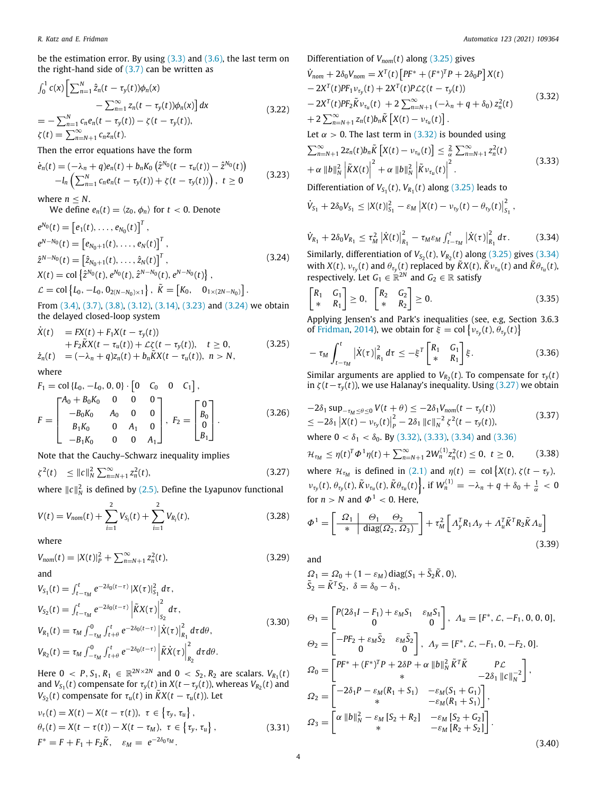be the estimation error. By using [\(3.3\)](#page-2-5) and [\(3.6\)](#page-2-6), the last term on the right-hand side of  $(3.7)$  can be written as

$$
\int_0^1 c(x) \left[ \sum_{n=1}^N \hat{z}_n(t - \tau_y(t)) \phi_n(x) - \sum_{n=1}^\infty z_n(t - \tau_y(t)) \phi_n(x) \right] dx
$$
\n
$$
= - \sum_{n=1}^N c_n e_n(t - \tau_y(t)) - \zeta(t - \tau_y(t)),
$$
\n
$$
\zeta(t) = \sum_{n=N+1}^\infty c_n z_n(t).
$$
\n(3.22)

Then the error equations have the form

$$
\dot{e}_n(t) = (-\lambda_n + q)e_n(t) + b_n K_0 \left(\hat{z}^{N_0}(t - \tau_u(t)) - \hat{z}^{N_0}(t)\right) \n- l_n \left(\sum_{n=1}^N c_n e_n(t - \tau_y(t)) + \zeta(t - \tau_y(t))\right), \ t \ge 0
$$
\n(3.23)

where  $n < N$ .

We define  $e_n(t) = \langle z_0, \phi_n \rangle$  for  $t < 0$ . Denote

$$
e^{N_0}(t) = [e_1(t), ..., e_{N_0}(t)]^T,
$$
  
\n
$$
e^{N-N_0}(t) = [e_{N_0+1}(t), ..., e_N(t)]^T,
$$
  
\n
$$
\hat{z}^{N-N_0}(t) = [\hat{z}_{N_0+1}(t), ..., \hat{z}_N(t)]^T,
$$
  
\n
$$
X(t) = \text{col}\left\{\hat{z}^{N_0}(t), e^{N_0}(t), \hat{z}^{N-N_0}(t), e^{N-N_0}(t)\right\},
$$
  
\n
$$
\mathcal{L} = \text{col}\left\{L_0, -L_0, 0_{2(N-N_0)\times 1}\right\}, \tilde{K} = [K_0, 0_{1\times (2N-N_0)}].
$$
\n(3.24)

From ([3.4](#page-2-7)), ([3.7\)](#page-2-0), [\(3.8\)](#page-2-8), ([3.12](#page-2-9)), [\(3.14](#page-2-1)), [\(3.23\)](#page-3-0) and ([3.24](#page-3-1)) we obtain the delayed closed-loop system

$$
\dot{X}(t) = FX(t) + F_1X(t - \tau_y(t)) \n+ F_2\tilde{K}X(t - \tau_u(t)) + \mathcal{L}\zeta(t - \tau_y(t)), \quad t \ge 0, \qquad (3.25) \n\dot{z}_n(t) = (-\lambda_n + q)z_n(t) + b_n\tilde{K}X(t - \tau_u(t)), \quad n > N,
$$

where

$$
F_1 = \text{col}\{L_0, -L_0, 0, 0\} \cdot \begin{bmatrix} 0 & C_0 & 0 & C_1 \end{bmatrix},
$$
  
\n
$$
F = \begin{bmatrix} A_0 + B_0 K_0 & 0 & 0 & 0 \\ -B_0 K_0 & A_0 & 0 & 0 \\ B_1 K_0 & 0 & A_1 & 0 \\ -B_1 K_0 & 0 & 0 & A_1 \end{bmatrix}, F_2 = \begin{bmatrix} 0 \\ B_0 \\ B_1 \end{bmatrix}.
$$
 (3.26)

Note that the Cauchy–Schwarz inequality implies

$$
\zeta^{2}(t) \leq \|c\|_{N}^{2} \sum_{n=N+1}^{\infty} z_{n}^{2}(t), \qquad (3.27)
$$

where  $||c||_N^2$  is defined by ([2.5](#page-1-4)). Define the Lyapunov functional

$$
V(t) = V_{nom}(t) + \sum_{i=1}^{2} V_{S_i}(t) + \sum_{i=1}^{2} V_{R_i}(t),
$$
\n(3.28)

where

$$
V_{nom}(t) = |X(t)|_P^2 + \sum_{n=N+1}^{\infty} z_n^2(t),
$$
\n(3.29)

$$
V_{S_1}(t) = \int_{t-\tau_M}^t e^{-2\delta_0(t-\tau)} |X(\tau)|_{S_1}^2 d\tau,
$$
  
\n
$$
V_{S_2}(t) = \int_{t-\tau_M}^t e^{-2\delta_0(t-\tau)} \left| \tilde{K}X(\tau) \right|_{S_2}^2 d\tau,
$$
  
\n
$$
V_{R_1}(t) = \tau_M \int_{-\tau_M}^0 \int_{t+\theta}^t e^{-2\delta_0(t-\tau)} \left| \dot{X}(\tau) \right|_{R_1}^2 d\tau d\theta,
$$
  
\n
$$
V_{R_2}(t) = \tau_M \int_{-\tau_M}^0 \int_{t+\theta}^t e^{-2\delta_0(t-\tau)} \left| \tilde{K}\dot{X}(\tau) \right|_{R_2}^2 d\tau d\theta.
$$
\n(3.30)

Here  $0 \, < P, S_1, R_1 \, \in \, \mathbb{R}^{2N \times 2N}$  and  $0 \, < S_2, R_2$  are scalars.  $V_{R_1}(t)$ and  $V_{S_1}(t)$  compensate for  $\tau_y(t)$  in  $X(t - \tau_y(t))$ , whereas  $V_{R_2}(t)$  and *V*<sub>S<sub>2</sub>(*t*)</sub> compensate for  $\tau_u(t)$  in  $\tilde{K}X(t - \tau_u(t))$ . Let

$$
\nu_{\tau}(t) = X(t) - X(t - \tau(t)), \ \tau \in \left\{\tau_y, \tau_u\right\},
$$
\n
$$
\theta_{\tau}(t) = X(t - \tau(t)) - X(t - \tau_M), \ \tau \in \left\{\tau_y, \tau_u\right\},
$$
\n
$$
F^* = F + F_1 + F_2 \tilde{K}, \quad \varepsilon_M = e^{-2\delta_0 \tau_M}.
$$
\n(3.31)

<span id="page-3-3"></span>Differentiation of 
$$
V_{nom}(t)
$$
 along (3.25) gives  
\n
$$
\dot{V}_{nom} + 2\delta_0 V_{nom} = X^T(t) [PF^* + (F^*)^T P + 2\delta_0 P] X(t) \n- 2X^T(t) PF_1 v_{\tau y}(t) + 2X^T(t) P\mathcal{L}\zeta(t - \tau_y(t)) \n- 2X^T(t) PF_2 \tilde{K} v_{\tau u}(t) + 2 \sum_{n=N+1}^{\infty} (-\lambda_n + q + \delta_0) z_n^2(t) \n+ 2 \sum_{n=N+1}^{\infty} z_n(t) b_n \tilde{K} [X(t) - v_{\tau u}(t)].
$$
\n(3.32)

<span id="page-3-18"></span>Let  $\alpha > 0$ . The last term in [\(3.32\)](#page-3-3) is bounded using

<span id="page-3-6"></span>
$$
\sum_{n=N+1}^{\infty} 2z_n(t)b_n\tilde{K}\left[X(t)-v_{\tau_u}(t)\right] \leq \frac{2}{\alpha}\sum_{n=N+1}^{\infty} z_n^2(t) + \alpha \|b\|_N^2 \left|\tilde{K}X(t)\right|^2 + \alpha \|b\|_N^2 \left|\tilde{K}v_{\tau_u}(t)\right|^2.
$$
 (3.33)

<span id="page-3-0"></span>Differentiation of  $V_{S_1}(t)$ ,  $V_{R_1}(t)$  along ([3.25](#page-3-2)) leads to

$$
\dot{V}_{S_1} + 2\delta_0 V_{S_1} \le |X(t)|_{S_1}^2 - \varepsilon_M |X(t) - \nu_{\tau_y}(t) - \theta_{\tau_y}(t)|_{S_1}^2,
$$

$$
\dot{V}_{R_1} + 2\delta_0 V_{R_1} \leq \tau_M^2 |\dot{X}(t)|_{R_1}^2 - \tau_M \varepsilon_M \int_{t-\tau_M}^t |\dot{X}(\tau)|_{R_1}^2 d\tau.
$$
 (3.34)

<span id="page-3-4"></span><span id="page-3-1"></span>Similarly, differentiation of  $V_{S_2}(t)$ ,  $V_{R_2}(t)$  along ([3.25](#page-3-2)) gives [\(3.34\)](#page-3-4) with  $X(t)$ ,  $v_{\tau y}(t)$  and  $\theta_{\tau y}(t)$  replaced by  $\widetilde{K}X(t)$ ,  $\widetilde{K}v_{\tau u}(t)$  and  $\widetilde{K}\theta_{\tau u}(t)$ , respectively. Let  $G_1 \in \mathbb{R}^{2N}$  and  $G_2 \in \mathbb{R}$  satisfy

<span id="page-3-9"></span>
$$
\begin{bmatrix} R_1 & G_1 \\ * & R_1 \end{bmatrix} \geq 0, \quad \begin{bmatrix} R_2 & G_2 \\ * & R_2 \end{bmatrix} \geq 0. \tag{3.35}
$$

Applying Jensen's and Park's inequalities (see, e.g, Section 3.6.3 of [Fridman,](#page-8-15) [2014\)](#page-8-15), we obtain for  $\xi = \text{col}\left\{v_{\tau_y}(t), \theta_{\tau_y}(t)\right\}$ 

<span id="page-3-7"></span><span id="page-3-2"></span>
$$
-\tau_M \int_{t-\tau_M}^t \left| \dot{X}(\tau) \right|_{R_1}^2 d\tau \leq -\xi^T \begin{bmatrix} R_1 & G_1 \\ * & R_1 \end{bmatrix} \xi. \tag{3.36}
$$

Similar arguments are applied to  $V_{R_2}(t)$ . To compensate for  $\tau_y(t)$ in  $\zeta(t-\tau_y(t))$ , we use Halanay's inequality. Using [\(3.27](#page-3-5)) we obtain

<span id="page-3-16"></span><span id="page-3-12"></span>
$$
-2\delta_1 \sup_{-\tau_M \le \theta \le 0} V(t + \theta) \le -2\delta_1 V_{nom}(t - \tau_y(t))
$$
  
\n
$$
\le -2\delta_1 |X(t) - \nu_{\tau_y}(t)|_p^2 - 2\delta_1 ||c||_N^{-2} \zeta^2(t - \tau_y(t)),
$$
  
\nwhere  $0 < \delta_1 < \delta_0$ . By (3.32), (3.33), (3.34) and (3.36)

<span id="page-3-8"></span>
$$
\mathcal{H}_{\tau_M} \leq \eta(t)^T \Phi^1 \eta(t) + \sum_{n=N+1}^{\infty} 2W_n^{(1)} z_n^2(t) \leq 0, \ t \geq 0,
$$
 (3.38)

<span id="page-3-5"></span>where  $\mathcal{H}_{\tau_M}$  is defined in [\(2.1\)](#page-1-5) and  $\eta(t) = \text{col}\left\{X(t), \zeta(t - \tau_y),\right\}$  $v_{\tau y}(t), \theta_{\tau y}(t), \tilde{K}v_{\tau u}(t), \tilde{K}\theta_{\tau u}(t)$ , if  $W_n^{(1)} = -\lambda_n + q + \delta_0 + \frac{1}{\alpha} < 0$ for  $n > N$  and  $\Phi^1 < 0$ . Here,

<span id="page-3-13"></span><span id="page-3-10"></span>
$$
\Phi^1 = \left[ \begin{array}{c|c} \Omega_1 & \Theta_1 & \Theta_2 \\ \hline \ast & \text{diag}(\Omega_2, \Omega_3) \end{array} \right] + \tau_M^2 \left[ \Lambda_y^T R_1 \Lambda_y + \Lambda_u^T \tilde{K}^T R_2 \tilde{K} \Lambda_u \right] \tag{3.39}
$$

<span id="page-3-14"></span>and

$$
S_1 = S_0 + (1 - \varepsilon_M) \operatorname{diag}(S_1 + \tilde{S}_2 \tilde{K}, 0),
$$
  
\n
$$
\tilde{S}_2 = \tilde{K}^T S_2, \ \delta = \delta_0 - \delta_1,
$$

<span id="page-3-17"></span><span id="page-3-15"></span><span id="page-3-11"></span>
$$
\Theta_{1} = \begin{bmatrix} P(2\delta_{1}I - F_{1}) + \varepsilon_{M}S_{1} & \varepsilon_{M}S_{1} \\ 0 & 0 \end{bmatrix}, A_{u} = [F^{*}, \mathcal{L}, -F_{1}, 0, 0, 0],
$$
  
\n
$$
\Theta_{2} = \begin{bmatrix} -PF_{2} + \varepsilon_{M}\tilde{S}_{2} & \varepsilon_{M}\tilde{S}_{2} \\ 0 & 0 \end{bmatrix}, A_{y} = [F^{*}, \mathcal{L}, -F_{1}, 0, -F_{2}, 0].
$$
  
\n
$$
\Omega_{0} = \begin{bmatrix} PF^{*} + (F^{*})^{T}P + 2\delta P + \alpha ||b||_{N}^{2} \tilde{K}^{T} \tilde{K} & P\mathcal{L} \\ * & -2\delta_{1} ||c||_{N}^{-2} \end{bmatrix},
$$
  
\n
$$
\Omega_{2} = \begin{bmatrix} -2\delta_{1}P - \varepsilon_{M}(R_{1} + S_{1}) & -\varepsilon_{M}(S_{1} + G_{1}) \\ * & -\varepsilon_{M}(R_{1} + S_{1}) \end{bmatrix},
$$
  
\n
$$
\Omega_{3} = \begin{bmatrix} \alpha ||b||_{N}^{2} - \varepsilon_{M} [S_{2} + R_{2}] & -\varepsilon_{M} [S_{2} + G_{2}] \\ * & -\varepsilon_{M} [R_{2} + S_{2}] \end{bmatrix}.
$$
  
\n(3.40)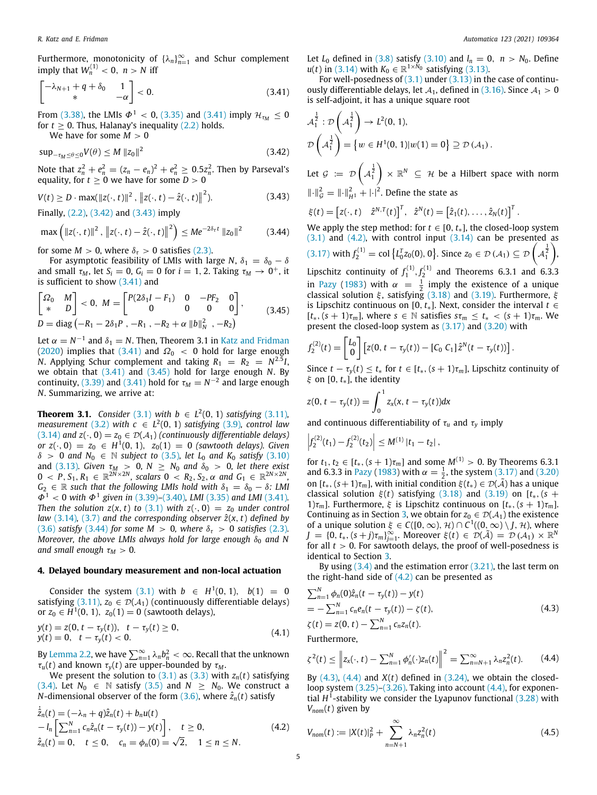Furthermore, monotonicity of  $\{\lambda_n\}_{n=1}^{\infty}$  and Schur complement imply that  $W_n^{(1)} < 0$ ,  $n > N$  iff

$$
\begin{bmatrix} -\lambda_{N+1} + q + \delta_0 & 1\\ * & -\alpha \end{bmatrix} < 0.
$$
 (3.41)

From ([3.38](#page-3-8)), the LMIs  $\Phi^1$  < 0, ([3.35\)](#page-3-9) and [\(3.41\)](#page-4-0) imply  $\mathcal{H}_{\tau_M} \leq 0$ for  $t \geq 0$ . Thus, Halanay's inequality ([2.2](#page-1-6)) holds.

We have for some  $M > 0$ 

$$
\sup_{-\tau_M \le \theta \le 0} V(\theta) \le M \|z_0\|^2 \tag{3.42}
$$

Note that  $z_n^2 + e_n^2 = (z_n - e_n)^2 + e_n^2 \ge 0.5z_n^2$ . Then by Parseval's equality, for  $t \geq 0$  we have for some  $D > 0$ 

$$
V(t) \ge D \cdot \max(\|z(\cdot, t)\|^2, \|z(\cdot, t) - \hat{z}(\cdot, t)\|^2). \tag{3.43}
$$

Finally, ([2.2](#page-1-6)), [\(3.42\)](#page-4-1) and ([3.43\)](#page-4-2) imply

$$
\max\left(\|z(\cdot,t)\|^2, \|z(\cdot,t) - \hat{z}(\cdot,t)\|^2\right) \le Me^{-2\delta_{\tau}t} \|z_0\|^2 \tag{3.44}
$$

for some  $M > 0$ , where  $\delta_{\tau} > 0$  satisfies [\(2.3\)](#page-1-3).

For asymptotic feasibility of LMIs with large *N*,  $\delta_1 = \delta_0 - \delta$ and small  $\tau_M$ , let  $S_i = 0$ ,  $G_i = 0$  for  $i = 1, 2$ . Taking  $\tau_M \to 0^+$ , it is sufficient to show ([3.41](#page-4-0)) and

$$
\begin{bmatrix} \Omega_0 & M \\ * & D \end{bmatrix} < 0, \ M = \begin{bmatrix} P(2\delta_1 I - F_1) & 0 & -P F_2 & 0 \\ 0 & 0 & 0 & 0 \end{bmatrix},
$$
  
 
$$
D = \text{diag}(-R_1 - 2\delta_1 P, -R_1, -R_2 + \alpha \|b\|_N^2, -R_2)
$$
 (3.45)

Let  $\alpha = N^{-1}$  and  $\delta_1 = N$ . Then, Theorem 3.1 in [Katz and Fridman](#page-8-14) ([2020\)](#page-8-14) implies that [\(3.41\)](#page-4-0) and  $\Omega_0$  < 0 hold for large enough *N*. Applying Schur complement and taking  $R_1 = R_2 = N^{2.5}I$ , we obtain that ([3.41](#page-4-0)) and [\(3.45](#page-4-3)) hold for large enough *N*. By continuity, ([3.39\)](#page-3-10) and [\(3.41\)](#page-4-0) hold for  $\tau_M = N^{-2}$  and large enough *N*. Summarizing, we arrive at:

<span id="page-4-8"></span>**Theorem 3.1.** *Consider* [\(3.1\)](#page-1-0) *with b* ∈  $L^2(0, 1)$  *satisfying* [\(3.11\)](#page-2-10)*, measurement* [\(3.2\)](#page-1-7) *with*  $c \in L^2(0, 1)$  *satisfying* ([3.9](#page-2-11))*, control law* ([3.14](#page-2-1)) *and*  $z(\cdot, 0) = z_0 \in \mathcal{D}(\mathcal{A}_1)$  *(continuously differentiable delays) or*  $z(\cdot, 0) = z_0 \in H^1(0, 1)$ ,  $z_0(1) = 0$  (sawtooth delays). Given  $\delta$  > 0 and  $N_0 \in \mathbb{N}$  *subject to* [\(3.5\)](#page-2-12)*, let*  $L_0$  *and*  $K_0$  *satisfy* [\(3.10\)](#page-2-13) and ([3.13\)](#page-2-14)*.* Given  $\tau_M > 0$ ,  $N \geq N_0$  and  $\delta_0 > 0$ , let there exist  $0 < P, S_1, R_1 \in \mathbb{R}^{2N \times 2N}$ , scalars  $0 < R_2, S_2, \alpha$  and  $G_1 \in \mathbb{R}^{2N \times 2N}$ ,  $G_2 \in \mathbb{R}$  *such that the following LMIs hold with*  $\delta_1 = \delta_0 - \delta$ *: LMI*  $\Phi^1$  < 0 with  $\Phi^1$  given in [\(3.39\)](#page-3-10)–[\(3.40\)](#page-3-11), LMI [\(3.35](#page-3-9)) and LMI [\(3.41\)](#page-4-0). *Then the solution*  $z(x, t)$  *to* ([3.1\)](#page-1-0) *with*  $z(\cdot, 0) = z_0$  *under control law* [\(3.14\)](#page-2-1), ([3.7](#page-2-0)) and the corresponding observer  $\hat{z}(x, t)$  defined by ([3.6](#page-2-6)) *satisfy* [\(3.44\)](#page-4-4) *for some M > 0, where*  $\delta_{\tau}$  > 0 *satisfies* [\(2.3\)](#page-1-3)*. Moreover, the above LMIs always hold for large enough*  $δ<sub>0</sub>$  *and N and small enough*  $\tau_M > 0$ .

#### **4. Delayed boundary measurement and non-local actuation**

<span id="page-4-10"></span>Consider the system [\(3.1\)](#page-1-0) with *b* ∈  $H^1(0, 1)$ , *b*(1) = 0 satisfying [\(3.11\)](#page-2-10),  $z_0 \in \mathcal{D}(\mathcal{A}_1)$  (continuously differentiable delays) or  $z_0 \in H^1(0, 1)$ ,  $z_0(1) = 0$  (sawtooth delays),

$$
y(t) = z(0, t - \tau_y(t)), \quad t - \tau_y(t) \ge 0,
$$
  
\n
$$
y(t) = 0, \quad t - \tau_y(t) < 0.
$$
\n
$$
(4.1)
$$

By [Lemma](#page-1-8) [2.2,](#page-1-8) we have  $\sum_{n=1}^{\infty} \lambda_n b_n^2 < \infty$ . Recall that the unknown  $\tau_u(t)$  and known  $\tau_y(t)$  are upper-bounded by  $\tau_M$ .

We present the solution to  $(3.1)$  as  $(3.3)$  with  $z_n(t)$  satisfying ([3.4](#page-2-7)). Let  $N_0 \in \mathbb{N}$  satisfy ([3.5](#page-2-12)) and  $N \ge N_0$ . We construct a *N*-dimensional observer of the form  $(3.6)$ , where  $\hat{z}_n(t)$  satisfy

$$
\dot{\hat{z}}_n(t) = (-\lambda_n + q)\hat{z}_n(t) + b_n u(t) \n- l_n \left[ \sum_{n=1}^N c_n \hat{z}_n(t - \tau_y(t)) - y(t) \right], \quad t \ge 0, \n\hat{z}_n(t) = 0, \quad t \le 0, \quad c_n = \phi_n(0) = \sqrt{2}, \quad 1 \le n \le N.
$$
\n(4.2)

Let  $L_0$  defined in ([3.8](#page-2-8)) satisfy [\(3.10](#page-2-13)) and  $l_n = 0$ ,  $n > N_0$ . Define  $u(t)$  in [\(3.14\)](#page-2-1) with  $K_0 \in \mathbb{R}^{1 \times \tilde{N}_0}$  satisfying ([3.13](#page-2-14)).

<span id="page-4-0"></span>For well-posedness of  $(3.1)$  $(3.1)$  $(3.1)$  under  $(3.13)$  in the case of continuously differentiable delays, let  $A_1$ , defined in [\(3.16\)](#page-2-15). Since  $A_1 > 0$ is self-adjoint, it has a unique square root

$$
\mathcal{A}_1^{\frac{1}{2}} : \mathcal{D}\left(\mathcal{A}_1^{\frac{1}{2}}\right) \to L^2(0, 1),
$$
  

$$
\mathcal{D}\left(\mathcal{A}_1^{\frac{1}{2}}\right) = \left\{w \in H^1(0, 1)|w(1) = 0\right\} \supseteq \mathcal{D}\left(\mathcal{A}_1\right).
$$

<span id="page-4-1"></span>Let  $\mathcal{G} \coloneqq \mathcal{D} \left( \mathcal{A}_1^{\frac{1}{2}} \right)$  $\Big\} \times \mathbb{R}^N \subseteq \mathcal{H}$  be a Hilbert space with norm  $\|\cdot\|_{\mathcal{G}}^2 = \|\cdot\|_{H^1}^2 + |\cdot|^2$ . Define the state as

<span id="page-4-2"></span>
$$
\xi(t) = \begin{bmatrix} z(\cdot,t) & \hat{z}^{N,T}(t) \end{bmatrix}^T, \quad \hat{z}^N(t) = \begin{bmatrix} \hat{z}_1(t), \ldots, \hat{z}_N(t) \end{bmatrix}^T.
$$

<span id="page-4-4"></span>We apply the step method: for  $t \in [0, t_*]$ , the closed-loop system  $(3.1)$  $(3.1)$  $(3.1)$  and  $(4.2)$ , with control input  $(3.14)$  $(3.14)$  can be presented as ([3.17](#page-2-2)) with  $f_2^{(1)} = \text{col}\left\{ L_0^T z_0(0), 0 \right\}$ . Since  $z_0 \in \mathcal{D}(A_1) \subseteq \mathcal{D}\left(A_1^{\frac{1}{2}} \right)$ ) , Lipschitz continuity of  $f_1^{(1)}$ ,  $f_2^{(1)}$  and Theorems 6.3.1 and 6.3.3 in [Pazy](#page-8-20) [\(1983](#page-8-20)) with  $\alpha = \frac{1}{2}$  imply the existence of a unique classical solution  $\xi$ , satisfying ([3.18](#page-2-3)) and ([3.19](#page-2-4)). Furthermore,  $\xi$ is Lipschitz continuous on [0,  $t$ <sub>∗</sub>]. Next, consider the interval  $t$  ∈  $[t_*, (s+1)\tau_m]$ , where  $s \in \mathbb{N}$  satisfies  $s\tau_m \leq t_* < (s+1)\tau_m$ . We present the closed-loop system as [\(3.17\)](#page-2-2) and ([3.20\)](#page-2-16) with

<span id="page-4-3"></span>
$$
f_2^{(2)}(t) = \begin{bmatrix} L_0 \\ 0 \end{bmatrix} \left[ z(0, t - \tau_y(t)) - \left[ C_0 \right] C_1 \right] \hat{z}^N(t - \tau_y(t)) \right].
$$

Since  $t - \tau_{\nu}(t) \leq t_*$  for  $t \in [t_*, (s+1)\tau_m]$ , Lipschitz continuity of ξ on [0, *t*∗], the identity

$$
z(0, t - \tau_{y}(t)) = \int_{0}^{1} z_{x}(x, t - \tau_{y}(t)) dx
$$

and continuous differentiability of  $\tau_u$  and  $\tau_y$  imply

$$
\left|f_2^{(2)}(t_1)-f_2^{(2)}(t_2)\right|\leq M^{(1)}\left|t_1-t_2\right|,
$$

for  $t_1, t_2 \in [t_*, (s+1)\tau_m]$  and some  $M^{(1)} > 0$ . By Theorems 6.3.1 and 6.3.3 in [Pazy](#page-8-20) ([1983\)](#page-8-20) with  $\alpha = \frac{1}{2}$ , the system ([3.17](#page-2-2)) and [\(3.20\)](#page-2-16) on  $[t_*, (s+1)\tau_m]$ , with initial condition  $\xi(t_*) \in \mathcal{D}(\tilde{\mathcal{A}})$  has a unique classical solution  $\xi(t)$  satisfying ([3.18\)](#page-2-3) and [\(3.19\)](#page-2-4) on [ $t_*,$  ( $s$  + 1) $\tau_m$ ]. Furthermore,  $\xi$  is Lipschitz continuous on  $[t_*, (s+1)\tau_m]$ . Continuing as in Section [3,](#page-1-9) we obtain for  $z_0 \in \mathcal{D}(\mathcal{A}_1)$  the existence of a unique solution  $\xi \in C([0,\infty),\mathcal{H}) \cap C^1((0,\infty) \setminus J,\mathcal{H})$ , where  $J = \{0, t_*, (s+j)\tau_m\}_{j=1}^\infty$ . Moreover  $\xi(t) \in \mathcal{D}(\tilde{\mathcal{A}}) = \mathcal{D}(\mathcal{A}_1) \times \mathbb{R}^N$ for all  $t > 0$ . For sawtooth delays, the proof of well-posedness is identical to Section [3.](#page-1-9)

By using  $(3.4)$  $(3.4)$  $(3.4)$  and the estimation error  $(3.21)$  $(3.21)$  $(3.21)$ , the last term on the right-hand side of  $(4.2)$  can be presented as

<span id="page-4-6"></span>
$$
\sum_{n=1}^{N} \phi_n(0)\hat{z}_n(t - \tau_y(t)) - y(t)
$$
  
=  $-\sum_{n=1}^{N} c_n e_n(t - \tau_y(t)) - \zeta(t),$   
 $\zeta(t) = z(0, t) - \sum_{n=1}^{N} c_n z_n(t).$  (4.3)

<span id="page-4-9"></span>Furthermore,

<span id="page-4-7"></span>
$$
\zeta^2(t) \leq \left\| z_x(\cdot,t) - \sum_{n=1}^N \phi_n'(\cdot) z_n(t) \right\|^2 = \sum_{n=N+1}^\infty \lambda_n z_n^2(t). \tag{4.4}
$$

By  $(4.3)$  $(4.3)$  $(4.3)$ ,  $(4.4)$  $(4.4)$  $(4.4)$  and  $X(t)$  defined in  $(3.24)$  $(3.24)$  $(3.24)$ , we obtain the closedloop system  $(3.25)$  $(3.25)$ – $(3.26)$ . Taking into account  $(4.4)$ , for exponential  $H^1$ -stability we consider the Lyapunov functional  $(3.28)$  $(3.28)$  $(3.28)$  with  $V_{nom}(t)$  given by

<span id="page-4-5"></span>
$$
V_{nom}(t) := |X(t)|_P^2 + \sum_{n=N+1}^{\infty} \lambda_n z_n^2(t)
$$
 (4.5)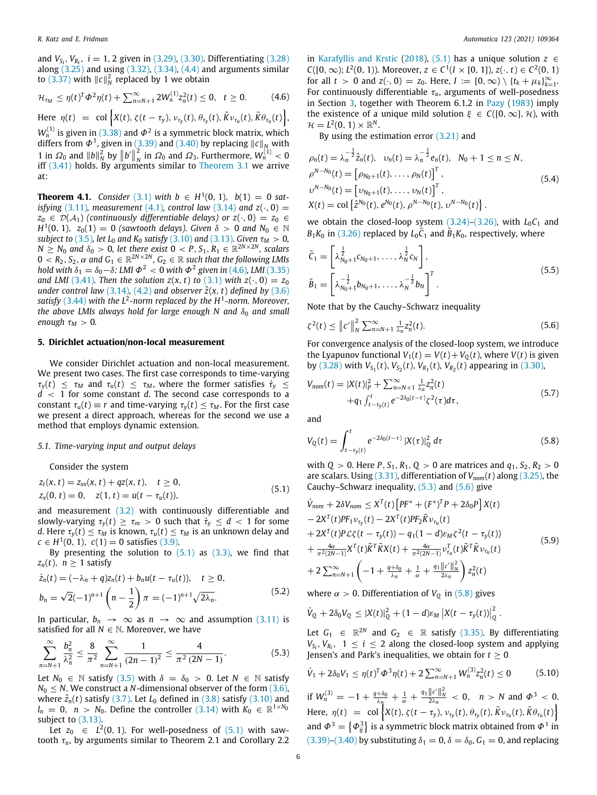and  $V_{S_i}$ ,  $V_{R_i}$ ,  $i = 1, 2$  given in [\(3.29\)](#page-3-14), [\(3.30\)](#page-3-15). Differentiating [\(3.28\)](#page-3-13) along  $(3.25)$  and using  $(3.32)$  $(3.32)$  $(3.32)$ ,  $(3.34)$  $(3.34)$ ,  $(4.4)$  and arguments similar to  $(3.37)$  with  $||c||_N^2$  replaced by 1 we obtain

$$
\mathcal{H}_{\tau_M} \leq \eta(t)^T \Phi^2 \eta(t) + \sum_{n=N+1}^{\infty} 2W_n^{(1)} z_n^2(t) \leq 0, \quad t \geq 0. \tag{4.6}
$$

Here  $\eta(t) = \text{col}\left\{X(t), \zeta(t-\tau_y), v_{\tau_y}(t), \theta_{\tau_y}(t), \tilde{K}v_{\tau_u}(t), \tilde{K}\theta_{\tau_u}(t)\right\},$  $W_n^{(1)}$  is given in ([3.38](#page-3-8)) and  $\varPhi^2$  is a symmetric block matrix, which differs from  $\Phi^1$ , given in [\(3.39\)](#page-3-10) and ([3.40\)](#page-3-11) by replacing  $\|c\|_N$  with 1 in  $\Omega_0$  and  $||b||_N^2$  by  $||b'||_N^2$  $\frac{2}{N}$  in  $\Omega_0$  and  $\Omega_3$ . Furthermore,  $W_n^{(1)} < 0$ iff  $(3.41)$  $(3.41)$  holds. By arguments similar to [Theorem](#page-4-8) [3.1](#page-4-8) we arrive at:

<span id="page-5-7"></span>**Theorem 4.1.** *Consider* [\(3.1\)](#page-1-0) *with*  $b \in H^1(0, 1)$ ,  $b(1) = 0$  *satisfying* ([3.11](#page-2-10))*, measurement* [\(4.1\)](#page-4-9)*, control law* [\(3.14](#page-2-1)) *and*  $z(\cdot, 0) =$  $z_0 \in \mathcal{D}(\mathcal{A}_1)$  *(continuously differentiable delays) or*  $z(\cdot, 0) = z_0 \in$ *H*<sup>1</sup>(0, 1), *z*<sub>0</sub>(1) = 0 (*sawtooth delays*). Given  $\delta > 0$  and  $N_0 \in \mathbb{N}$ *subject to* ([3.5](#page-2-12))*, let*  $L_0$  *and*  $K_0$  *satisfy* ([3.10](#page-2-13)) *and* [\(3.13](#page-2-14))*. Given*  $\tau_M > 0$ *,*  $N \geq N_0$  *and*  $\delta_0 > 0$ , let there exist  $0 < P$ ,  $S_1$ ,  $R_1 \in \mathbb{R}^{2N \times 2N}$ , scalars  $0 < R_2, S_2, \alpha$  and  $G_1 \in \mathbb{R}^{2N \times 2N}$ ,  $G_2 \in \mathbb{R}$  such that the following LMIs hold with  $\delta_1 = \delta_0 - \delta$ : LMI  $\Phi^2 < 0$  with  $\Phi^2$  given in ([4.6](#page-5-0)), LMI [\(3.35\)](#page-3-9) *and LMI* ([3.41\)](#page-4-0)*. Then the solution*  $z(x, t)$  *to ([3.1](#page-1-0)) with*  $z(\cdot, 0) = z_0$ *under control law* ([3.14\)](#page-2-1), ([4.2](#page-4-5)) *and observer*  $\hat{z}(x, t)$  *defined by* [\(3.6\)](#page-2-6) *satisfy* ([3.44\)](#page-4-4) *with the L*<sup>2</sup> *-norm replaced by the H*<sup>1</sup> *-norm. Moreover, the above LMIs always hold for large enough N and*  $δ<sub>0</sub>$  *and small enough*  $\tau_M > 0$ *.* 

# **5. Dirichlet actuation/non-local measurement**

We consider Dirichlet actuation and non-local measurement. We present two cases. The first case corresponds to time-varying  $\tau_v(t) \leq \tau_M$  and  $\tau_u(t) \leq \tau_M$ , where the former satisfies  $\dot{\tau}_v \leq$ *d* < 1 for some constant *d*. The second case corresponds to a constant  $\tau_u(t) \equiv r$  and time-varying  $\tau_v(t) \leq \tau_M$ . For the first case we present a direct approach, whereas for the second we use a method that employs dynamic extension.

#### *5.1. Time-varying input and output delays*

<span id="page-5-6"></span>Consider the system

$$
z_t(x, t) = z_{xx}(x, t) + qz(x, t), \quad t \ge 0,z_x(0, t) = 0, \quad z(1, t) = u(t - \tau_u(t)),
$$
\n(5.1)

and measurement ([3.2](#page-1-7)) with continuously differentiable and slowly-varying  $\tau_v(t) \geq \tau_m > 0$  such that  $\dot{\tau}_v \leq d < 1$  for some *d*. Here  $\tau_v(t) \leq \tau_M$  is known,  $\tau_u(t) \leq \tau_M$  is an unknown delay and  $c \in H^1(0, 1), c(1) = 0$  satisfies ([3.9](#page-2-11)).

By presenting the solution to  $(5.1)$  as  $(3.3)$ , we find that  $z_n(t)$ ,  $n \geq 1$  satisfy

$$
\dot{z}_n(t) = (-\lambda_n + q)z_n(t) + b_n u(t - \tau_u(t)), \quad t \ge 0,
$$
  
\n
$$
b_n = \sqrt{2}(-1)^{n+1} \left(n - \frac{1}{2}\right) \pi = (-1)^{n+1} \sqrt{2\lambda_n}.
$$
\n(5.2)

In particular,  $b_n \rightarrow \infty$  as  $n \rightarrow \infty$  and assumption [\(3.11](#page-2-10)) is satisfied for all  $N \in \mathbb{N}$ . Moreover, we have

$$
\sum_{n=N+1}^{\infty} \frac{b_n^2}{\lambda_n^2} \le \frac{8}{\pi^2} \sum_{n=N+1}^{\infty} \frac{1}{(2n-1)^2} \le \frac{4}{\pi^2 (2N-1)}.
$$
 (5.3)

Let  $N_0 \in \mathbb{N}$  satisfy ([3.5](#page-2-12)) with  $\delta = \delta_0 > 0$ . Let  $N \in \mathbb{N}$  satisfy  $N_0 \leq N$ . We construct a *N*-dimensional observer of the form [\(3.6\)](#page-2-6), where  $\hat{z}_n(t)$  satisfy [\(3.7\)](#page-2-0). Let  $L_0$  defined in [\(3.8\)](#page-2-8) satisfy [\(3.10\)](#page-2-13) and  $l_n = 0$ ,  $n > N_0$ . Define the controller [\(3.14\)](#page-2-1) with  $K_0 \in \mathbb{R}^{1 \times N_0}$ subject to  $(3.13)$ .

Let  $z_0 \in L^2(0, 1)$ . For well-posedness of  $(5.1)$  $(5.1)$  $(5.1)$  with sawtooth  $\tau_u$ , by arguments similar to Theorem 2.1 and Corollary 2.2 <span id="page-5-0"></span>in [Karafyllis and Krstic](#page-8-4) ([2018\)](#page-8-4), ([5.1](#page-5-1)) has a unique solution *z* ∈ *C*([0, ∞); *L*<sup>2</sup>(0, 1)). Moreover, *z* ∈ *C*<sup>1</sup>(*I* × [0, 1]), *z*(·, *t*) ∈ *C*<sup>2</sup>(0, 1) for all  $t > 0$  and  $z(\cdot, 0) = z_0$ . Here,  $I := [0, \infty) \setminus \{t_k + \mu_k\}_{k=1}^{\infty}$ . For continuously differentiable  $\tau_u$ , arguments of well-posedness in Section [3,](#page-1-9) together with Theorem 6.1.2 in [Pazy](#page-8-20) ([1983](#page-8-20)) imply the existence of a unique mild solution  $\xi \in C([0,\infty], \mathcal{H})$ , with  $\mathcal{H} = L^2(0, 1) \times \mathbb{R}^N$ .

By using the estimation error [\(3.21\)](#page-2-17) and

$$
\rho_n(t) = \lambda_n^{-\frac{1}{2}} \hat{z}_n(t), \quad v_n(t) = \lambda_n^{-\frac{1}{2}} e_n(t), \quad N_0 + 1 \le n \le N,
$$
  
\n
$$
\rho^{N-N_0}(t) = \left[ \rho_{N_0+1}(t), \dots, \rho_N(t) \right]^T,
$$
  
\n
$$
v^{N-N_0}(t) = \left[ v_{N_0+1}(t), \dots, v_N(t) \right]^T,
$$
  
\n
$$
X(t) = \text{col}\left\{ \hat{z}^{N_0}(t), e^{N_0}(t), \rho^{N-N_0}(t), v^{N-N_0}(t) \right\}.
$$
\n(5.4)

we obtain the closed-loop system  $(3.24)$  $(3.24)$  $(3.24)$ – $(3.26)$ , with  $L_0C_1$  and  $B_1K_0$  in [\(3.26\)](#page-3-12) replaced by  $L_0\tilde{C}_1$  and  $\tilde{B}_1K_0$ , respectively, where

$$
\tilde{C}_1 = \left[ \lambda_{N_0+1}^{\frac{1}{2}} c_{N_0+1}, \dots, \lambda_N^{\frac{1}{2}} c_N \right],
$$
\n
$$
\tilde{B}_1 = \left[ \lambda_{N_0+1}^{-\frac{1}{2}} b_{N_0+1}, \dots, \lambda_N^{-\frac{1}{2}} b_N \right]^T.
$$
\n(5.5)

Note that by the Cauchy–Schwarz inequality

<span id="page-5-3"></span>
$$
\zeta^{2}(t) \leq \left\| c' \right\|_{N}^{2} \sum_{n=N+1}^{\infty} \frac{1}{\lambda_{n}} z_{n}^{2}(t). \tag{5.6}
$$

For convergence analysis of the closed-loop system, we introduce the Lyapunov functional  $V_1(t) = V(t) + V_2(t)$ , where  $V(t)$  is given by ([3.28](#page-3-13)) with  $V_{S_1}(t)$ ,  $V_{S_2}(t)$ ,  $V_{R_1}(t)$ ,  $V_{R_2}(t)$  appearing in ([3.30](#page-3-15)),

<span id="page-5-5"></span>
$$
V_{nom}(t) = |X(t)|_P^2 + \sum_{n=N+1}^{\infty} \frac{1}{\lambda_n} Z_n^2(t)
$$
  
+ $q_1 \int_{t-\tau_y(t)}^t e^{-2\delta_0(t-\tau)} \zeta^2(\tau) d\tau,$  (5.7)

and

<span id="page-5-4"></span>
$$
V_Q(t) = \int_{t-\tau_y(t)}^t e^{-2\delta_0(t-\tau)} |X(\tau)|_Q^2 d\tau
$$
\n(5.8)

with  $Q > 0$ . Here  $P, S_1, R_1, Q > 0$  are matrices and  $q_1, S_2, R_2 > 0$ are scalars. Using [\(3.31](#page-3-17)), differentiation of *Vnom*(*t*) along ([3.25](#page-3-2)), the Cauchy–Schwarz inequality, ([5.3](#page-5-2)) and [\(5.6\)](#page-5-3) give

<span id="page-5-1"></span>
$$
\dot{V}_{nom} + 2\delta V_{nom} \leq X^{T}(t) \left[ PF^{*} + (F^{*})^{T} P + 2\delta_{0} P \right] X(t) \n- 2X^{T}(t) PF_{1} v_{\tau_{y}}(t) - 2X^{T}(t) PF_{2} \tilde{K} v_{\tau_{u}}(t) \n+ 2X^{T}(t) P\mathcal{L}\zeta(t - \tau_{y}(t)) - q_{1}(1 - d)\varepsilon_{M}\zeta^{2}(t - \tau_{y}(t)) \n+ \frac{4\alpha}{\pi^{2}(2N-1)} X^{T}(t) \tilde{K}^{T} \tilde{K}X(t) + \frac{4\alpha}{\pi^{2}(2N-1)} v_{\tau_{u}}^{T}(t) \tilde{K}^{T} \tilde{K} v_{\tau_{u}}(t) \n+ 2 \sum_{n=N+1}^{\infty} \left( -1 + \frac{q + \delta_{0}}{\lambda_{n}} + \frac{1}{\alpha} + \frac{q_{1} ||c'||_{N}^{2}}{2\lambda_{n}} \right) z_{n}^{2}(t)
$$
\n(5.9)

where  $\alpha > 0$ . Differentiation of  $V_Q$  in [\(5.8\)](#page-5-4) gives

$$
\dot{V}_Q + 2\delta_0 V_Q \le |X(t)|_Q^2 + (1-d)\varepsilon_M |X(t - \tau_y(t))|_Q^2.
$$

<span id="page-5-2"></span>Let  $G_1 \in \mathbb{R}^{2N}$  and  $G_2 \in \mathbb{R}$  satisfy ([3.35\)](#page-3-9). By differentiating  $V_{S_i}$ ,  $V_{R_i}$ ,  $1 \leq i \leq 2$  along the closed-loop system and applying Jensen's and Park's inequalities, we obtain for  $t \geq 0$ 

$$
\dot{V}_1 + 2\delta_0 V_1 \le \eta(t)^T \Phi^3 \eta(t) + 2 \sum_{n=N+1}^{\infty} W_n^{(3)} z_n^2(t) \le 0 \tag{5.10}
$$

if  $W_n^{(3)} = -1 + \frac{q + \delta_0}{\lambda_n} + \frac{1}{\alpha} + \frac{q_1 ||c'||_N^2}{2\lambda_n} < 0$ ,  $n > N$  and  $\Phi^3 < 0$ . Here,  $\eta(t) = \text{col}\left\{X(t), \zeta(t-\tau_y), v_{\tau_y}(t), \theta_{\tau_y}(t), \tilde{K}v_{\tau_u}(t), \tilde{K}\theta_{\tau_u}(t)\right\}$ and  $\Phi^3 = \left\{\Phi_{ij}^3\right\}$  is a symmetric block matrix obtained from  $\Phi^1$  in  $(3.39)$  $(3.39)$  $(3.39)$ – $(3.40)$  $(3.40)$  $(3.40)$  by substituting  $\delta_1 = 0$ ,  $\delta = \delta_0$ ,  $G_1 = 0$ , and replacing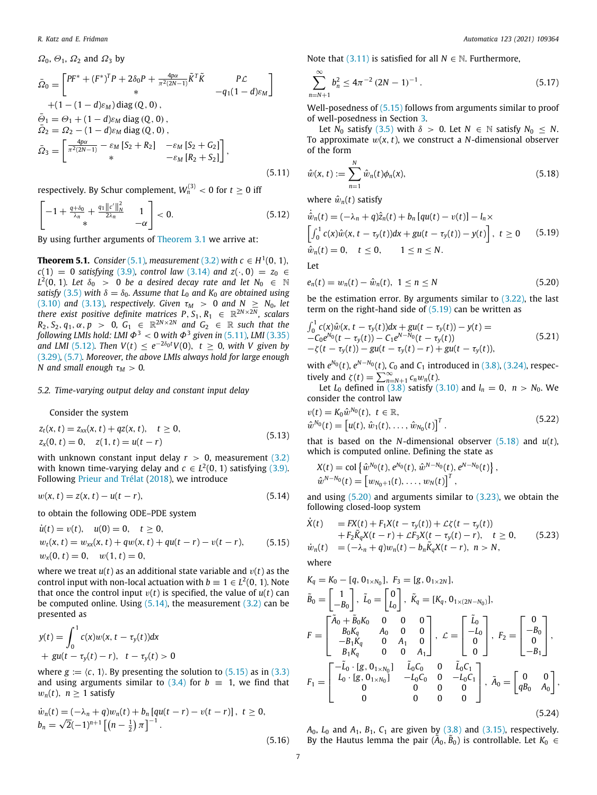$\Omega_0$ ,  $\Theta_1$ ,  $\Omega_2$  and  $\Omega_3$  by

$$
\bar{\Omega}_{0} = \begin{bmatrix} PF^{*} + (F^{*})^{T}P + 2\delta_{0}P + \frac{4p\alpha}{\pi^{2}(2N-1)}\tilde{K}^{T}\tilde{K} & P\mathcal{L} \\ * & -q_{1}(1-d)\varepsilon_{M} \\ + (1 - (1-d)\varepsilon_{M}) \operatorname{diag}(Q, 0) , \\ \bar{\varrho}_{1} = \varrho_{1} + (1-d)\varepsilon_{M} \operatorname{diag}(Q, 0) , \\ \bar{\Omega}_{2} = \Omega_{2} - (1-d)\varepsilon_{M} \operatorname{diag}(Q, 0) , \\ \bar{\Omega}_{3} = \begin{bmatrix} \frac{4p\alpha}{\pi^{2}(2N-1)} - \varepsilon_{M} [S_{2} + R_{2}] & -\varepsilon_{M} [S_{2} + S_{2}] \\ * & -\varepsilon_{M} [R_{2} + S_{2}] \end{bmatrix}, \end{bmatrix},
$$
\n(5.11)

respectively. By Schur complement,  $W_n^{(3)} < 0$  for  $t \ge 0$  iff

$$
\begin{bmatrix} -1 + \frac{q + \delta_0}{\lambda_n} + \frac{q_1 ||c'||_N^2}{2\lambda_n} & 1 \\ * & -\alpha \end{bmatrix} < 0.
$$
 (5.12)

By using further arguments of [Theorem](#page-4-8) [3.1](#page-4-8) we arrive at:

**Theorem 5.1.** *Consider* [\(5.1\)](#page-5-1), *measurement* ([3.2](#page-1-7)) *with*  $c ∈ H<sup>1</sup>(0, 1)$ ,  $c(1) = 0$  *satisfying* [\(3.9\)](#page-2-11)*, control law* ([3.14](#page-2-1)) *and*  $z(\cdot, 0) = z_0 \in$  $L^2(0, 1)$ *. Let*  $\delta_0 > 0$  *be a desired decay rate and let*  $N_0 \in \mathbb{N}$ *satisfy* ([3.5](#page-2-12)) *with*  $\delta = \delta_0$ *. Assume that*  $L_0$  *and*  $K_0$  *are obtained using* ([3.10](#page-2-13)) *and* ([3.13](#page-2-14))*, respectively. Given*  $\tau_M > 0$  *and*  $N \ge N_0$ *, let there exist positive definite matrices*  $P, S_1, R_1 \in \mathbb{R}^{2N \times 2N}$ *, scalars*  $R_2, S_2, q_1, \alpha, p > 0$ ,  $G_1 \in \mathbb{R}^{2N \times 2N}$  and  $G_2 \in \mathbb{R}$  such that the following LMIs hold: LMI  $\Phi^3 < 0$  with  $\Phi^3$  given in ([5.11](#page-6-0)), LMI [\(3.35\)](#page-3-9) *and LMI* ([5.12](#page-6-1)). Then  $V(t) \leq e^{-2\delta_0 t} V(0)$ ,  $t \geq 0$ , with V given by ([3.29](#page-3-14))*,* [\(5.7\)](#page-5-5)*. Moreover, the above LMIs always hold for large enough N* and small enough  $\tau_M > 0$ .

### *5.2. Time-varying output delay and constant input delay*

<span id="page-6-11"></span>Consider the system

$$
z_t(x, t) = z_{xx}(x, t) + qz(x, t), \quad t \ge 0,z_x(0, t) = 0, \quad z(1, t) = u(t - r)
$$
\n(5.13)

with unknown constant input delay  $r > 0$ , measurement [\(3.2\)](#page-1-7) with known time-varying delay and  $c \in L^2(0, 1)$  satisfying [\(3.9\)](#page-2-11). Following [Prieur and Trélat](#page-8-8) [\(2018](#page-8-8)), we introduce

$$
w(x, t) = z(x, t) - u(t - r),
$$
\n(5.14)

to obtain the following ODE–PDE system

$$
\dot{u}(t) = v(t), \quad u(0) = 0, \quad t \ge 0,\n w_t(x, t) = w_{xx}(x, t) + qw(x, t) + qu(t - r) - v(t - r), \quad (5.15)\n w_x(0, t) = 0, \quad w(1, t) = 0,
$$

where we treat  $u(t)$  as an additional state variable and  $v(t)$  as the control input with non-local actuation with  $b \equiv 1 \in L^2(0, 1)$ . Note that once the control input  $v(t)$  is specified, the value of  $u(t)$  can be computed online. Using  $(5.14)$  $(5.14)$ , the measurement  $(3.2)$  $(3.2)$  $(3.2)$  can be presented as

$$
y(t) = \int_0^1 c(x)w(x, t - \tau_y(t))dx + gu(t - \tau_y(t) - r), t - \tau_y(t) > 0
$$

where  $g := (c, 1)$ . By presenting the solution to  $(5.15)$  $(5.15)$  $(5.15)$  as in  $(3.3)$ and using arguments similar to  $(3.4)$  $(3.4)$  $(3.4)$  for  $b = 1$ , we find that  $w_n(t)$ ,  $n \geq 1$  satisfy

$$
\dot{w}_n(t) = (-\lambda_n + q)w_n(t) + b_n [qu(t - r) - v(t - r)], \ t \ge 0,
$$
  
\n
$$
b_n = \sqrt{2}(-1)^{n+1} \left[ \left( n - \frac{1}{2} \right) \pi \right]^{-1}.
$$
\n(5.16)

Note that ([3.11](#page-2-10)) is satisfied for all  $N \in \mathbb{N}$ . Furthermore,

<span id="page-6-8"></span>
$$
\sum_{n=N+1}^{\infty} b_n^2 \le 4\pi^{-2} (2N-1)^{-1} \,. \tag{5.17}
$$

Well-posedness of  $(5.15)$  follows from arguments similar to proof of well-posedness in Section [3.](#page-1-9)

Let *N*<sup>0</sup> satisfy [\(3.5\)](#page-2-12) with  $\delta > 0$ . Let  $N \in \mathbb{N}$  satisfy  $N_0 \leq N$ . To approximate  $w(x, t)$ , we construct a *N*-dimensional observer of the form

<span id="page-6-5"></span><span id="page-6-0"></span>
$$
\hat{w}(x,t) := \sum_{n=1}^{N} \hat{w}_n(t)\phi_n(x),
$$
\n(5.18)

where  $\hat{w}_n(t)$  satisfy

<span id="page-6-4"></span><span id="page-6-1"></span>
$$
\dot{\hat{w}}_n(t) = (-\lambda_n + q)\hat{z}_n(t) + b_n [qu(t) - v(t)] - l_n \times
$$
\n
$$
\left[\int_0^1 c(x)\hat{w}(x, t - \tau_y(t))dx + gu(t - \tau_y(t)) - y(t)\right], \ t \ge 0 \qquad (5.19)
$$
\n
$$
\hat{w}_n(t) = 0, \quad t \le 0, \qquad 1 \le n \le N.
$$

<span id="page-6-12"></span>Let

<span id="page-6-6"></span>
$$
e_n(t) = w_n(t) - \hat{w}_n(t), \ \ 1 \le n \le N \tag{5.20}
$$

be the estimation error. By arguments similar to ([3.22](#page-3-18)), the last term on the right-hand side of  $(5.19)$  $(5.19)$  can be written as

$$
\int_0^1 c(x)\hat{w}(x, t - \tau_y(t))dx + gu(t - \tau_y(t)) - y(t) =
$$
\n
$$
-C_0 e^{N_0}(t - \tau_y(t)) - C_1 e^{N - N_0}(t - \tau_y(t))
$$
\n
$$
- \zeta(t - \tau_y(t)) - gu(t - \tau_y(t)) - y(t) + gu(t - \tau_y(t)),
$$
\n(5.21)

with  $e^{N_0}(t)$ ,  $e^{N-N_0}(t)$ ,  $C_0$  and  $C_1$  introduced in ([3.8](#page-2-8)), ([3.24](#page-3-1)), respectively and  $\zeta(t) = \sum_{n=N+1}^{\infty} c_n w_n(t)$ .

Let  $L_0$  defined  $\overline{in}$  ([3.8](#page-2-8)) satisfy [\(3.10](#page-2-13)) and  $l_n = 0$ ,  $n > N_0$ . We consider the control law

$$
v(t) = K_0 \hat{w}^{N_0}(t), \ t \in \mathbb{R},
$$
  
\n
$$
\hat{w}^{N_0}(t) = [u(t), \hat{w}_1(t), \dots, \hat{w}_{N_0}(t)]^T.
$$
\n(5.22)

<span id="page-6-9"></span>that is based on the *N*-dimensional observer [\(5.18\)](#page-6-5) and *u*(*t*), which is computed online. Defining the state as

<span id="page-6-10"></span><span id="page-6-7"></span>
$$
X(t) = \text{col}\left\{\hat{w}^{N_0}(t), e^{N_0}(t), \hat{w}^{N-N_0}(t), e^{N-N_0}(t)\right\},
$$
  

$$
\hat{w}^{N-N_0}(t) = \left[w_{N_0+1}(t), \ldots, w_N(t)\right]^T,
$$

<span id="page-6-2"></span>and using  $(5.20)$  $(5.20)$  $(5.20)$  and arguments similar to  $(3.23)$  $(3.23)$ , we obtain the following closed-loop system

<span id="page-6-3"></span>
$$
\dot{X}(t) = FX(t) + F_1X(t - \tau_y(t)) + \mathcal{L}\zeta(t - \tau_y(t)) \n+ F_2\tilde{K}_qX(t - r) + \mathcal{L}F_3X(t - \tau_y(t) - r), \quad t \ge 0, \quad (5.23)
$$
\n
$$
\dot{w}_n(t) = (-\lambda_n + q)w_n(t) - b_n\tilde{K}_qX(t - r), \quad n > N,
$$

where

$$
K_{q} = K_{0} - [q, 0_{1 \times N_{0}}], F_{3} = [g, 0_{1 \times 2N}],
$$
  
\n
$$
\tilde{B}_{0} = \begin{bmatrix} 1 \\ -B_{0} \end{bmatrix}, \tilde{L}_{0} = \begin{bmatrix} 0 \\ L_{0} \end{bmatrix}, \tilde{K}_{q} = [K_{q}, 0_{1 \times (2N - N_{0})}],
$$
  
\n
$$
F = \begin{bmatrix} \tilde{A}_{0} + \tilde{B}_{0}K_{0} & 0 & 0 & 0 \\ B_{0}K_{q} & A_{0} & 0 & 0 \\ -B_{1}K_{q} & 0 & A_{1} & 0 \\ B_{1}K_{q} & 0 & 0 & A_{1} \end{bmatrix}, \mathcal{L} = \begin{bmatrix} \tilde{L}_{0} \\ -L_{0} \\ 0 \end{bmatrix}, F_{2} = \begin{bmatrix} 0 \\ -B_{0} \\ 0 \\ -B_{1} \end{bmatrix},
$$
  
\n
$$
F_{1} = \begin{bmatrix} -\tilde{L}_{0} \cdot [g, 0_{1 \times N_{0}}] & \tilde{L}_{0}C_{0} & 0 & \tilde{L}_{0}C_{1} \\ L_{0} \cdot [g, 0_{1 \times N_{0}}] & -L_{0}C_{0} & 0 & -L_{0}C_{1} \\ 0 & 0 & 0 & 0 \\ 0 & 0 & 0 & 0 \end{bmatrix}, \tilde{A}_{0} = \begin{bmatrix} 0 & 0 \\ qB_{0} & A_{0} \end{bmatrix},
$$
  
\n(5.24)

*A*0, *L*<sup>0</sup> and *A*1, *B*1, *C*<sup>1</sup> are given by ([3.8](#page-2-8)) and ([3.15](#page-2-18)), respectively. By the Hautus lemma the pair  $(\tilde{A}_0, \tilde{B}_0)$  is controllable. Let  $K_0 \in$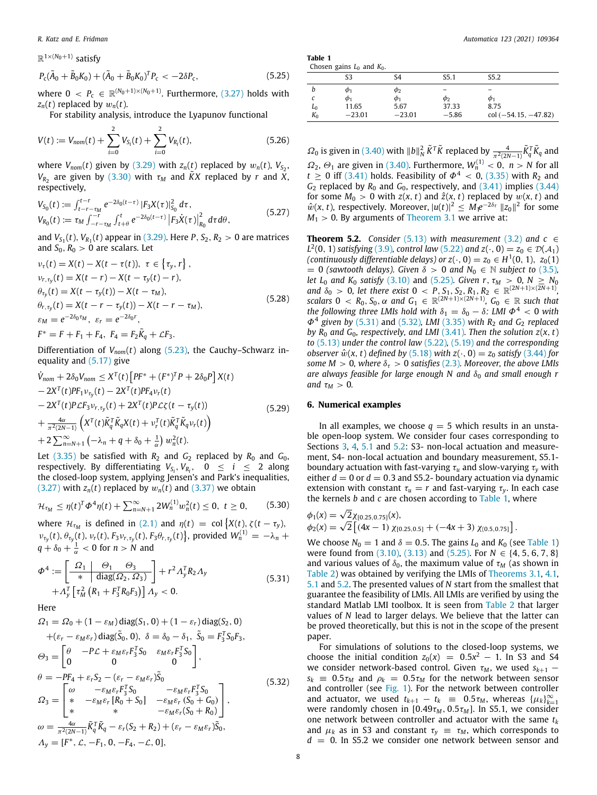$\mathbb{R}^{1 \times (N_0+1)}$  satisfy

$$
P_{\rm c}(\tilde{A}_0 + \tilde{B}_0 K_0) + (\tilde{A}_0 + \tilde{B}_0 K_0)^T P_{\rm c} < -2\delta P_{\rm c},\tag{5.25}
$$

where  $0 \, < P_c \, \in \, \mathbb{R}^{(N_0+1)\times(N_0+1)}$ . Furthermore, ([3.27](#page-3-5)) holds with  $z_n(t)$  replaced by  $w_n(t)$ .

For stability analysis, introduce the Lyapunov functional

$$
V(t) := V_{nom}(t) + \sum_{i=0}^{2} V_{S_i}(t) + \sum_{i=0}^{2} V_{R_i}(t),
$$
\n(5.26)

where  $V_{nom}(t)$  given by  $(3.29)$  $(3.29)$  with  $z_n(t)$  replaced by  $w_n(t)$ ,  $V_{S_2}$ ,  $V_{R_2}$  are given by [\(3.30](#page-3-15)) with  $\tau_M$  and  $\tilde{K}X$  replaced by *r* and *X*, respectively,

$$
V_{S_0}(t) := \int_{t-r-\tau_M}^{t-r} e^{-2\delta_0(t-\tau)} |F_3 X(\tau)|_{S_0}^2 d\tau,
$$
  
\n
$$
V_{R_0}(t) := \tau_M \int_{-r-\tau_M}^{-r} \int_{t+\theta}^t e^{-2\delta_0(t-\tau)} |F_3 \dot{X}(\tau)|_{R_0}^2 d\tau d\theta,
$$
\n(5.27)

and  $V_{S_1}(t)$ ,  $V_{R_1}(t)$  appear in [\(3.29\)](#page-3-14). Here  $P, S_2, R_2 > 0$  are matrices and  $S_0$ ,  $R_0 > 0$  are scalars. Let

$$
\nu_{\tau}(t) = X(t) - X(t - \tau(t)), \ \tau \in \{\tau_{y}, r\}, \n\nu_{r, \tau_{y}}(t) = X(t - r) - X(t - \tau_{y}(t) - r), \n\n\theta_{\tau_{y}}(t) = X(t - \tau_{y}(t)) - X(t - \tau_{M}), \n\n\theta_{r, \tau_{y}}(t) = X(t - r - \tau_{y}(t)) - X(t - r - \tau_{M}), \n\n\epsilon_{M} = e^{-2\delta_{0} \tau_{M}}, \ \varepsilon_{r} = e^{-2\delta_{0} r}, \nF^{*} = F + F_{1} + F_{4}, \ F_{4} = F_{2} \tilde{K}_{q} + \mathcal{L}F_{3}.
$$
\n(5.28)

Differentiation of  $V_{nom}(t)$  along ([5.23\)](#page-6-7), the Cauchy–Schwarz inequality and ([5.17\)](#page-6-8) give

$$
\dot{V}_{nom} + 2\delta_{0}V_{nom} \leq X^{T}(t)\left[PF^{*} + (F^{*})^{T}P + 2\delta_{0}P\right]X(t) \n- 2X^{T}(t)PF_{1}v_{\tau_{y}}(t) - 2X^{T}(t)PF_{4}v_{r}(t) \n- 2X^{T}(t)P\mathcal{L}F_{3}v_{r,\tau_{y}}(t) + 2X^{T}(t)P\mathcal{L}\zeta(t - \tau_{y}(t)) \n+ \frac{4\alpha}{\pi^{2}(2N-1)}\left(X^{T}(t)\tilde{K}_{q}^{T}\tilde{K}_{q}X(t) + v_{r}^{T}(t)\tilde{K}_{q}^{T}\tilde{K}_{q}v_{r}(t)\right) \n+ 2\sum_{n=N+1}^{\infty}\left(-\lambda_{n} + q + \delta_{0} + \frac{1}{\alpha}\right)w_{n}^{2}(t).
$$
\n(S.29)

Let  $(3.35)$  be satisfied with  $R_2$  and  $G_2$  replaced by  $R_0$  and  $G_0$ , respectively. By differentiating  $V_{S_i}, V_{R_i}, \quad 0 \leq i \leq 2$  along the closed-loop system, applying Jensen's and Park's inequalities, ([3.27](#page-3-5)) with  $z_n(t)$  replaced by  $w_n(t)$  and [\(3.37\)](#page-3-16) we obtain

$$
\mathcal{H}_{\tau_M} \leq \eta(t)^T \Phi^4 \eta(t) + \sum_{n=N+1}^{\infty} 2W_n^{(1)} w_n^2(t) \leq 0, \quad t \geq 0,
$$
 (5.30)

where  $\mathcal{H}_{\tau_M}$  is defined in [\(2.1\)](#page-1-5) and  $\eta(t) = \text{col}\left\{X(t), \zeta(t-\tau_y),\right\}$  $v_{\tau_y}(t), \theta_{\tau_y}(t), v_r(t), F_3 v_{r,\tau_y}(t), F_3 \theta_{r,\tau_y}(t)$ , provided  $W_n^{(1)} = -\lambda_n + \lambda_n$  $q + \delta_0 + \frac{1}{\alpha} < 0$  for  $n > N$  and

$$
\Phi^4 := \left[\begin{array}{c|c}\Omega_1 & \Theta_1 & \Theta_3 \\
\hline \ast & \text{diag}(\Omega_2, \Omega_3) \\
\end{array}\right] + r^2 \Lambda_y^T R_2 \Lambda_y \\
+ \Lambda_y^T \left[\tau_M^2 \left(R_1 + F_3^T R_0 F_3\right)\right] \Lambda_y < 0.
$$
\n(5.31)

Here

$$
\Omega_{1} = \Omega_{0} + (1 - \varepsilon_{M}) \operatorname{diag}(S_{1}, 0) + (1 - \varepsilon_{r}) \operatorname{diag}(S_{2}, 0) \n+ (\varepsilon_{r} - \varepsilon_{M}\varepsilon_{r}) \operatorname{diag}(\tilde{S}_{0}, 0), \ \delta = \delta_{0} - \delta_{1}, \ \tilde{S}_{0} = F_{3}^{T} S_{0} F_{3}, \n\Theta_{3} = \begin{bmatrix} \theta & -P\mathcal{L} + \varepsilon_{M}\varepsilon_{r} F_{3}^{T} S_{0} & \varepsilon_{M}\varepsilon_{r} F_{3}^{T} S_{0} \\ 0 & 0 & 0 \end{bmatrix}, \n\theta = -P F_{4} + \varepsilon_{r} S_{2} - (\varepsilon_{r} - \varepsilon_{M}\varepsilon_{r}) \tilde{S}_{0} \n\Omega_{3} = \begin{bmatrix} \omega & -\varepsilon_{M}\varepsilon_{r} F_{3}^{T} S_{0} & -\varepsilon_{M}\varepsilon_{r} F_{3}^{T} S_{0} \\ * & -\varepsilon_{M}\varepsilon_{r} [R_{0} + S_{0}] & -\varepsilon_{M}\varepsilon_{r} (S_{0} + G_{0}) \\ * & * & -\varepsilon_{M}\varepsilon_{r} (S_{0} + R_{0}) \end{bmatrix}, \n\omega = \frac{4\alpha}{\pi^{2}(2N-1)} \tilde{K}_{q}^{T} \tilde{K}_{q} - \varepsilon_{r} (S_{2} + R_{2}) + (\varepsilon_{r} - \varepsilon_{M}\varepsilon_{r}) \tilde{S}_{0}, \n\Lambda_{y} = [F^{*}, \mathcal{L}, -F_{1}, 0, -F_{4}, -\mathcal{L}, 0],
$$
\n(5.32)

| Table 1                                                |  |  |
|--------------------------------------------------------|--|--|
| Chosen $q$ axing $I_{\text{rad}}$ and $I_{\text{rad}}$ |  |  |

<span id="page-7-3"></span><span id="page-7-0"></span>

| Chosen gains $L_0$ and $K_0$ . |             |             |                   |                        |  |  |
|--------------------------------|-------------|-------------|-------------------|------------------------|--|--|
|                                | S3          | S4          | S <sub>5</sub> .1 | S5.2                   |  |  |
|                                | $\varphi_1$ | $\varphi_2$ | -                 |                        |  |  |
|                                | $\varphi_1$ | $\varphi_1$ | Φ2                | $\varphi_1$            |  |  |
| $L_0$                          | 11.65       | 5.67        | 37.33             | 8.75                   |  |  |
| $K_0$                          | $-23.01$    | $-23.01$    | $-5.86$           | $col (-54.15, -47.82)$ |  |  |

 $Ω_0$  is given in [\(3.40\)](#page-3-11) with  $||b||_N^2$   $\tilde{K}^T\tilde{K}$  replaced by  $\frac{4}{\pi^2(2N-1)}\tilde{K}_q^T\tilde{K}_q$  and  $\Omega_2$ ,  $\Theta_1$  are given in ([3.40\)](#page-3-11). Furthermore,  $W_n^{(1)} < 0$ ,  $n > N$  for all  $t \ge 0$  iff [\(3.41](#page-4-0)) holds. Feasibility of  $\Phi^4 < 0$ , ([3.35](#page-3-9)) with *R*<sub>2</sub> and  $G_2$  replaced by  $R_0$  and  $G_0$ , respectively, and  $(3.41)$  $(3.41)$  implies  $(3.44)$ for some  $M_0 > 0$  with  $z(x, t)$  and  $\hat{z}(x, t)$  replaced by  $w(x, t)$  and  $\hat{w}(x, t)$ , respectively. Moreover,  $|u(t)|^2 \leq M_1 e^{-2\delta_{\tau}} ||z_0||^2$  for some  $M_1 > 0$ . By arguments of [Theorem](#page-4-8) [3.1](#page-4-8) we arrive at:

<span id="page-7-4"></span>**Theorem 5.2.** *Consider* [\(5.13\)](#page-6-9) *with measurement* [\(3.2\)](#page-1-7) *and*  $c \in$ *L*<sup>2</sup>(0, 1) *satisfying* [\(3.9\)](#page-2-11)*, control law* ([5.22](#page-6-10)) *and*  $z(\cdot, 0) = z_0 \in \mathcal{D}(\mathcal{A}_1)$ *(continuously differentiable delays) or*  $z(\cdot, 0) = z_0 \in H^1(0, 1)$ ,  $z_0(1)$  $= 0$  *(sawtooth delays). Given*  $\delta > 0$  *and*  $N_0 \in \mathbb{N}$  *subject to* [\(3.5\)](#page-2-12), *let*  $L_0$  *and*  $K_0$  *satisfy* [\(3.10\)](#page-2-13) and ([5.25](#page-7-0))*. Given*  $r, \tau_M > 0, N \geq N_0$ *and*  $\delta_0 > 0$ , let there exist  $0 < P$ ,  $S_1$ ,  $S_2$ ,  $R_1$ ,  $R_2 \in \mathbb{R}^{(2N+1)\times(2N+1)}$ , *scalars*  $0 \, < R_0, S_0, \alpha$  *and*  $G_1 \in \mathbb{R}^{(2N+1)\times(2N+1)}$ ,  $G_0 \in \mathbb{R}$  *such that the following three LMIs hold with*  $\delta_1 = \delta_0 - \delta$ *: LMI*  $\Phi^4 < 0$  *with*  $Φ<sup>4</sup>$  given by [\(5.31\)](#page-7-1) and ([5.32](#page-7-2)), *LMI* ([3.35\)](#page-3-9) with *R*<sub>2</sub> and *G*<sub>2</sub> *replaced by*  $R_0$  *and*  $G_0$ *, respectively, and LMI* ([3.41](#page-4-0))*. Then the solution*  $z(x, t)$ *to* ([5.13\)](#page-6-9) *under the control law* ([5.22\)](#page-6-10)*,* [\(5.19\)](#page-6-4) *and the corresponding observer*  $\hat{w}(x, t)$  *defined by* [\(5.18\)](#page-6-5) *with*  $z(\cdot, 0) = z_0$  *satisfy* ([3.44](#page-4-4)) *for some M*  $> 0$ *, where*  $\delta_{\tau} > 0$  *satisfies* [\(2.3\)](#page-1-3)*. Moreover, the above LMIs are always feasible for large enough N and*  $\delta_0$  *and small enough r and*  $\tau_M > 0$ *.* 

# **6. Numerical examples**

In all examples, we choose  $q = 5$  which results in an unstable open-loop system. We consider four cases corresponding to Sections [3](#page-1-9), [4,](#page-4-10) [5.1](#page-5-6) and [5.2](#page-6-11): S3- non-local actuation and measurement, S4- non-local actuation and boundary measurement, S5.1 boundary actuation with fast-varying τ*<sup>u</sup>* and slow-varying τ*<sup>y</sup>* with either  $d = 0$  or  $d = 0.3$  and S5.2- boundary actuation via dynamic extension with constant  $\tau_u = r$  and fast-varying  $\tau_v$ . In each case the kernels *b* and *c* are chosen according to [Table](#page-7-3) [1,](#page-7-3) where

$$
\phi_1(x) = \sqrt{2} \chi_{[0.25, 0.75]}(x),
$$
  
\n
$$
\phi_2(x) = \sqrt{2} \left[ (4x - 1) \chi_{[0.25, 0.5]} + (-4x + 3) \chi_{[0.5, 0.75]} \right].
$$

<span id="page-7-1"></span>We choose  $N_0 = 1$  and  $\delta = 0.5$ . The gains  $L_0$  and  $K_0$  (see [Table](#page-7-3) [1\)](#page-7-3) were found from ([3.10](#page-2-13)), [\(3.13\)](#page-2-14) and [\(5.25\)](#page-7-0). For *N* ∈ {4, 5, 6, 7, 8} and various values of  $\delta_0$ , the maximum value of  $\tau_M$  (as shown in [Table](#page-8-21) [2](#page-8-21)) was obtained by verifying the LMIs of [Theorems](#page-4-8) [3.1,](#page-4-8) [4.1,](#page-5-7) [5.1](#page-6-12) and [5.2](#page-7-4). The presented values of *N* start from the smallest that guarantee the feasibility of LMIs. All LMIs are verified by using the standard Matlab LMI toolbox. It is seen from [Table](#page-8-21) [2](#page-8-21) that larger values of *N* lead to larger delays. We believe that the latter can be proved theoretically, but this is not in the scope of the present paper.

<span id="page-7-2"></span>For simulations of solutions to the closed-loop systems, we choose the initial condition  $z_0(x) = 0.5x^2 - 1$ . In S3 and S4 we consider network-based control. Given  $\tau_M$ , we used  $s_{k+1}$  –  $s_k = 0.5\tau_M$  and  $\rho_k = 0.5\tau_M$  for the network between sensor and controller (see [Fig.](#page-1-1) [1\)](#page-1-1). For the network between controller and actuator, we used  $t_{k+1} - t_k \equiv 0.5\tau_M$ , whereas  $\{\mu_k\}_{k=1}^{\infty}$ were randomly chosen in  $[0.49\tau_M, 0.5\tau_M]$ . In S5.1, we consider one network between controller and actuator with the same *t<sup>k</sup>* and  $\mu_k$  as in S3 and constant  $\tau_v \equiv \tau_M$ , which corresponds to *d* = 0. In S5.2 we consider one network between sensor and